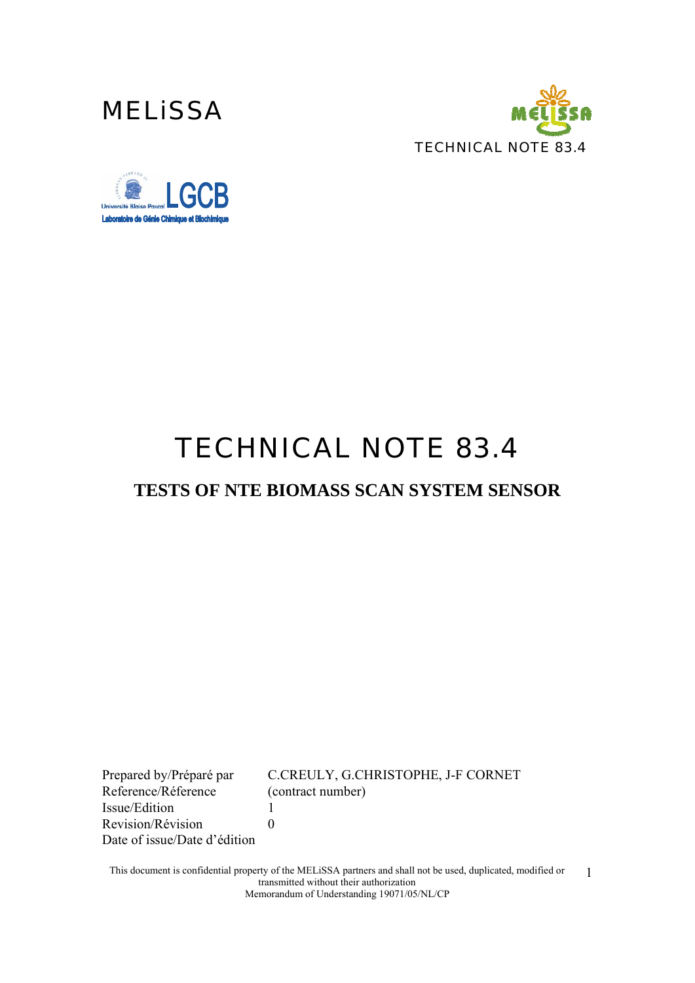





# *TECHNICAL NOTE 83.4*

### **TESTS OF NTE BIOMASS SCAN SYSTEM SENSOR**

Reference/Réference (contract number) Issue/Edition 1 Revision/Révision 0 Date of issue/Date d'édition

Prepared by/Préparé par C.CREULY, G.CHRISTOPHE, J-F CORNET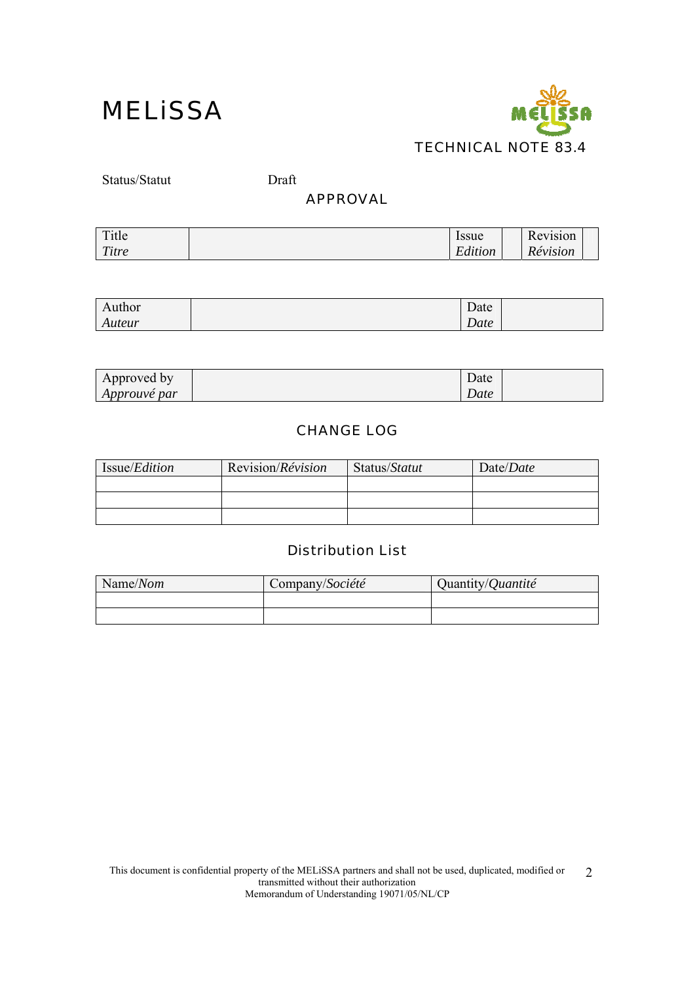

Status/Statut Draft

#### APPROVAL

| Title | Issue                               | Revision |  |
|-------|-------------------------------------|----------|--|
| Titre | $\cdots$<br>$\mathbf{r}$<br>Edition | Révision |  |

| Author | Date |  |
|--------|------|--|
| Auteur | Date |  |

| Approved by         | Date |  |
|---------------------|------|--|
| <i>Approuvé par</i> | Date |  |

### CHANGE LOG

| Issue/ <i>Edition</i> | Revision/ <i>Révision</i> | Status/Statut | Date/Date |
|-----------------------|---------------------------|---------------|-----------|
|                       |                           |               |           |
|                       |                           |               |           |
|                       |                           |               |           |

### Distribution List

| Name/Nom | Company/Société | Quantity/Quantité |
|----------|-----------------|-------------------|
|          |                 |                   |
|          |                 |                   |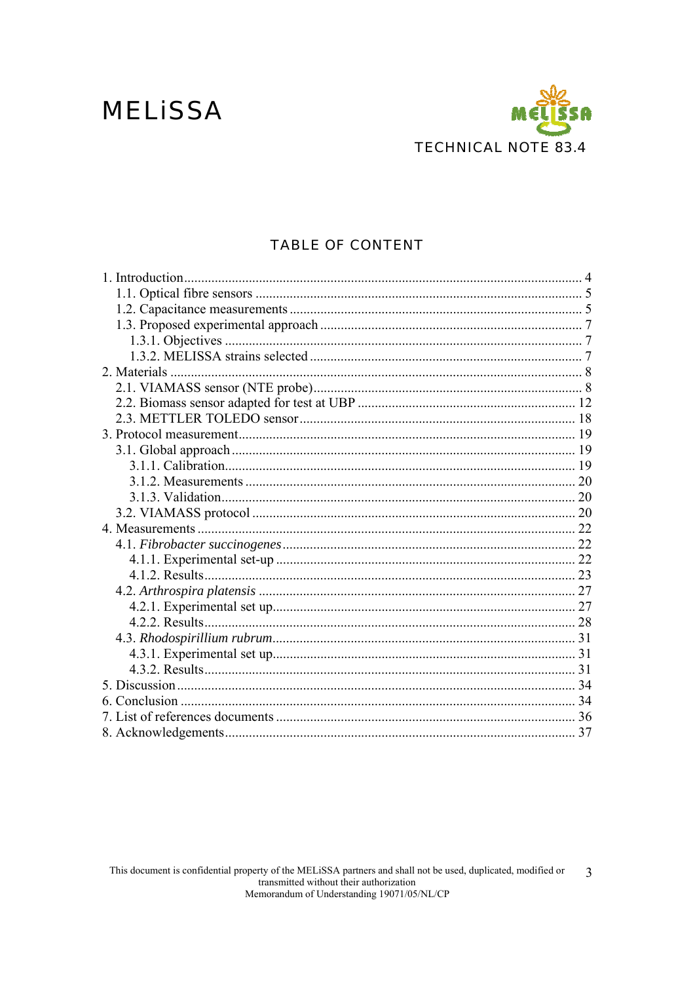## **MELISSA**



### **TABLE OF CONTENT**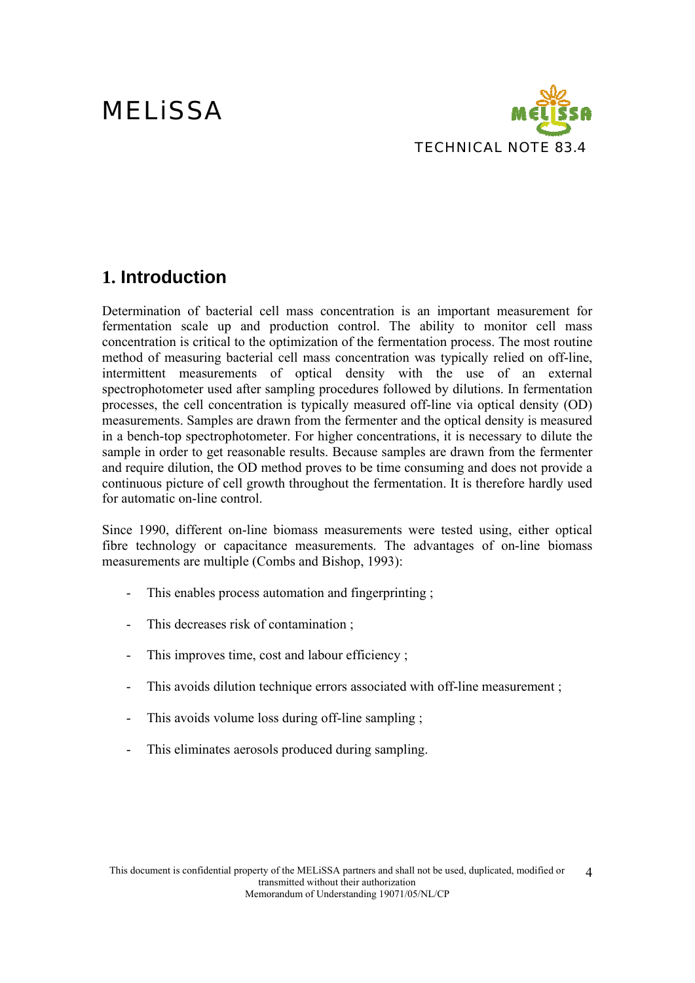

### **1. Introduction**

Determination of bacterial cell mass concentration is an important measurement for fermentation scale up and production control. The ability to monitor cell mass concentration is critical to the optimization of the fermentation process. The most routine method of measuring bacterial cell mass concentration was typically relied on off-line, intermittent measurements of optical density with the use of an external spectrophotometer used after sampling procedures followed by dilutions. In fermentation processes, the cell concentration is typically measured off-line via optical density (OD) measurements. Samples are drawn from the fermenter and the optical density is measured in a bench-top spectrophotometer. For higher concentrations, it is necessary to dilute the sample in order to get reasonable results. Because samples are drawn from the fermenter and require dilution, the OD method proves to be time consuming and does not provide a continuous picture of cell growth throughout the fermentation. It is therefore hardly used for automatic on-line control.

Since 1990, different on-line biomass measurements were tested using, either optical fibre technology or capacitance measurements. The advantages of on-line biomass measurements are multiple (Combs and Bishop, 1993):

- This enables process automation and fingerprinting ;
- This decreases risk of contamination ;
- This improves time, cost and labour efficiency;
- This avoids dilution technique errors associated with off-line measurement ;
- This avoids volume loss during off-line sampling ;
- This eliminates aerosols produced during sampling.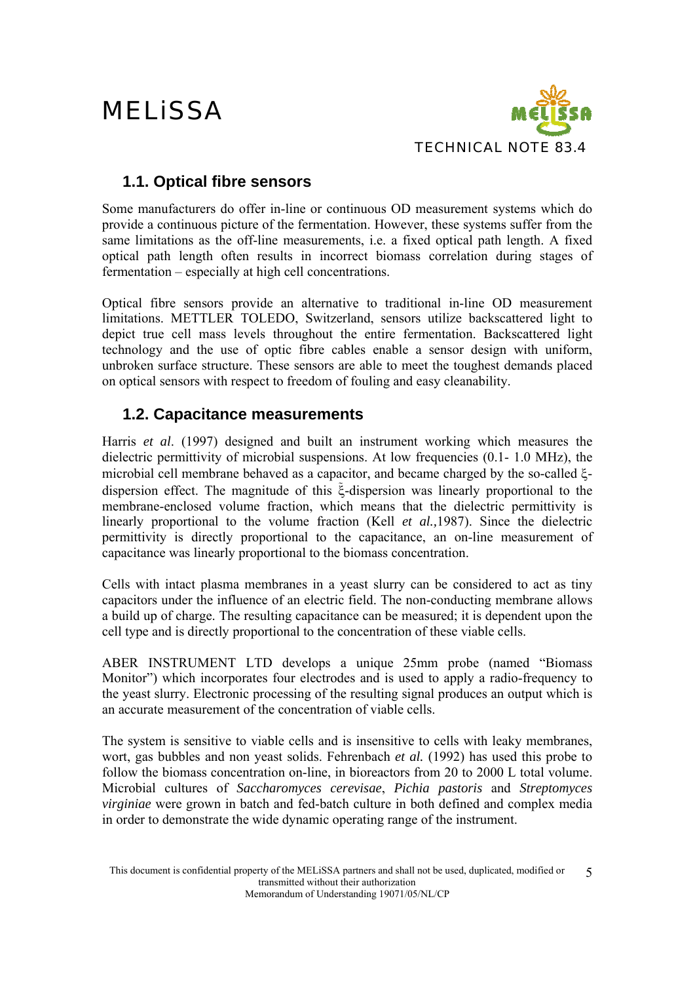

### **1.1. Optical fibre sensors**

Some manufacturers do offer in-line or continuous OD measurement systems which do provide a continuous picture of the fermentation. However, these systems suffer from the same limitations as the off-line measurements, i.e. a fixed optical path length. A fixed optical path length often results in incorrect biomass correlation during stages of fermentation – especially at high cell concentrations.

Optical fibre sensors provide an alternative to traditional in-line OD measurement limitations. METTLER TOLEDO, Switzerland, sensors utilize backscattered light to depict true cell mass levels throughout the entire fermentation. Backscattered light technology and the use of optic fibre cables enable a sensor design with uniform, unbroken surface structure. These sensors are able to meet the toughest demands placed on optical sensors with respect to freedom of fouling and easy cleanability.

### **1.2. Capacitance measurements**

Harris *et al*. (1997) designed and built an instrument working which measures the dielectric permittivity of microbial suspensions. At low frequencies (0.1- 1.0 MHz), the microbial cell membrane behaved as a capacitor, and became charged by the so-called ξdispersion effect. The magnitude of this ξ-dispersion was linearly proportional to the membrane-enclosed volume fraction, which means that the dielectric permittivity is linearly proportional to the volume fraction (Kell *et al.,*1987). Since the dielectric permittivity is directly proportional to the capacitance, an on-line measurement of capacitance was linearly proportional to the biomass concentration.

Cells with intact plasma membranes in a yeast slurry can be considered to act as tiny capacitors under the influence of an electric field. The non-conducting membrane allows a build up of charge. The resulting capacitance can be measured; it is dependent upon the cell type and is directly proportional to the concentration of these viable cells.

ABER INSTRUMENT LTD develops a unique 25mm probe (named "Biomass Monitor") which incorporates four electrodes and is used to apply a radio-frequency to the yeast slurry. Electronic processing of the resulting signal produces an output which is an accurate measurement of the concentration of viable cells.

The system is sensitive to viable cells and is insensitive to cells with leaky membranes, wort, gas bubbles and non yeast solids. Fehrenbach *et al.* (1992) has used this probe to follow the biomass concentration on-line, in bioreactors from 20 to 2000 L total volume. Microbial cultures of *Saccharomyces cerevisae*, *Pichia pastoris* and *Streptomyces virginiae* were grown in batch and fed-batch culture in both defined and complex media in order to demonstrate the wide dynamic operating range of the instrument.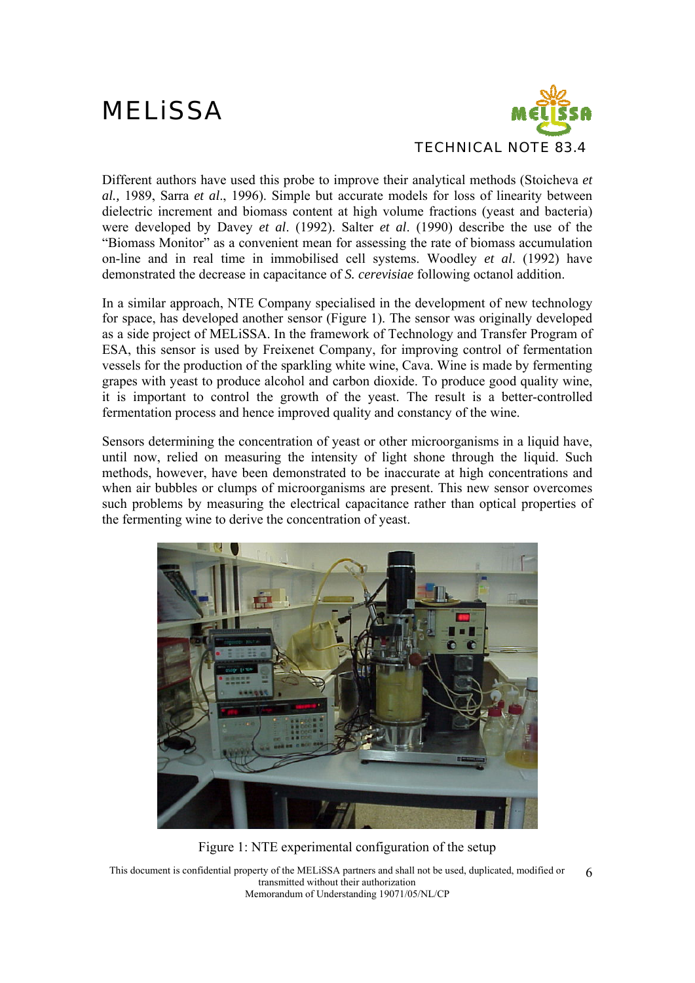

Different authors have used this probe to improve their analytical methods (Stoicheva *et al.,* 1989, Sarra *et al*., 1996). Simple but accurate models for loss of linearity between dielectric increment and biomass content at high volume fractions (yeast and bacteria) were developed by Davey *et al*. (1992). Salter *et al*. (1990) describe the use of the "Biomass Monitor" as a convenient mean for assessing the rate of biomass accumulation on-line and in real time in immobilised cell systems. Woodley *et al*. (1992) have demonstrated the decrease in capacitance of *S. cerevisiae* following octanol addition.

In a similar approach, NTE Company specialised in the development of new technology for space, has developed another sensor (Figure 1). The sensor was originally developed as a side project of MELiSSA. In the framework of Technology and Transfer Program of ESA, this sensor is used by Freixenet Company, for improving control of fermentation vessels for the production of the sparkling white wine, Cava. Wine is made by fermenting grapes with yeast to produce alcohol and carbon dioxide. To produce good quality wine, it is important to control the growth of the yeast. The result is a better-controlled fermentation process and hence improved quality and constancy of the wine.

Sensors determining the concentration of yeast or other microorganisms in a liquid have. until now, relied on measuring the intensity of light shone through the liquid. Such methods, however, have been demonstrated to be inaccurate at high concentrations and when air bubbles or clumps of microorganisms are present. This new sensor overcomes such problems by measuring the electrical capacitance rather than optical properties of the fermenting wine to derive the concentration of yeast.



Figure 1: NTE experimental configuration of the setup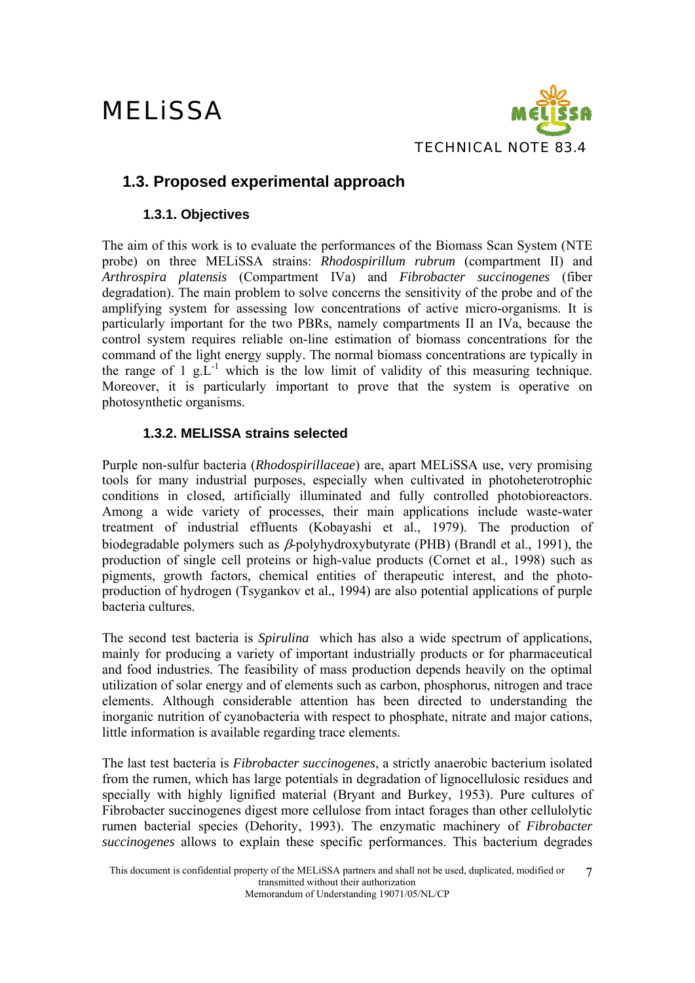

### **1.3. Proposed experimental approach**

### **1.3.1. Objectives**

The aim of this work is to evaluate the performances of the Biomass Scan System (NTE probe) on three MELiSSA strains: *Rhodospirillum rubrum* (compartment II) and *Arthrospira platensis* (Compartment IVa) and *Fibrobacter succinogenes* (fiber degradation). The main problem to solve concerns the sensitivity of the probe and of the amplifying system for assessing low concentrations of active micro-organisms. It is particularly important for the two PBRs, namely compartments II an IVa, because the control system requires reliable on-line estimation of biomass concentrations for the command of the light energy supply. The normal biomass concentrations are typically in the range of  $1 \text{ g.L}^{-1}$  which is the low limit of validity of this measuring technique. Moreover, it is particularly important to prove that the system is operative on photosynthetic organisms.

### **1.3.2. MELISSA strains selected**

Purple non-sulfur bacteria (*Rhodospirillaceae*) are, apart MELiSSA use, very promising tools for many industrial purposes, especially when cultivated in photoheterotrophic conditions in closed, artificially illuminated and fully controlled photobioreactors. Among a wide variety of processes, their main applications include waste-water treatment of industrial effluents (Kobayashi et al., 1979). The production of biodegradable polymers such as β-polyhydroxybutyrate (PHB) (Brandl et al., 1991), the production of single cell proteins or high-value products (Cornet et al., 1998) such as pigments, growth factors, chemical entities of therapeutic interest, and the photoproduction of hydrogen (Tsygankov et al., 1994) are also potential applications of purple bacteria cultures.

The second test bacteria is *Spirulina* which has also a wide spectrum of applications, mainly for producing a variety of important industrially products or for pharmaceutical and food industries. The feasibility of mass production depends heavily on the optimal utilization of solar energy and of elements such as carbon, phosphorus, nitrogen and trace elements. Although considerable attention has been directed to understanding the inorganic nutrition of cyanobacteria with respect to phosphate, nitrate and major cations, little information is available regarding trace elements.

The last test bacteria is *Fibrobacter succinogenes*, a strictly anaerobic bacterium isolated from the rumen, which has large potentials in degradation of lignocellulosic residues and specially with highly lignified material (Bryant and Burkey, 1953). Pure cultures of Fibrobacter succinogenes digest more cellulose from intact forages than other cellulolytic rumen bacterial species (Dehority, 1993). The enzymatic machinery of *Fibrobacter succinogenes* allows to explain these specific performances. This bacterium degrades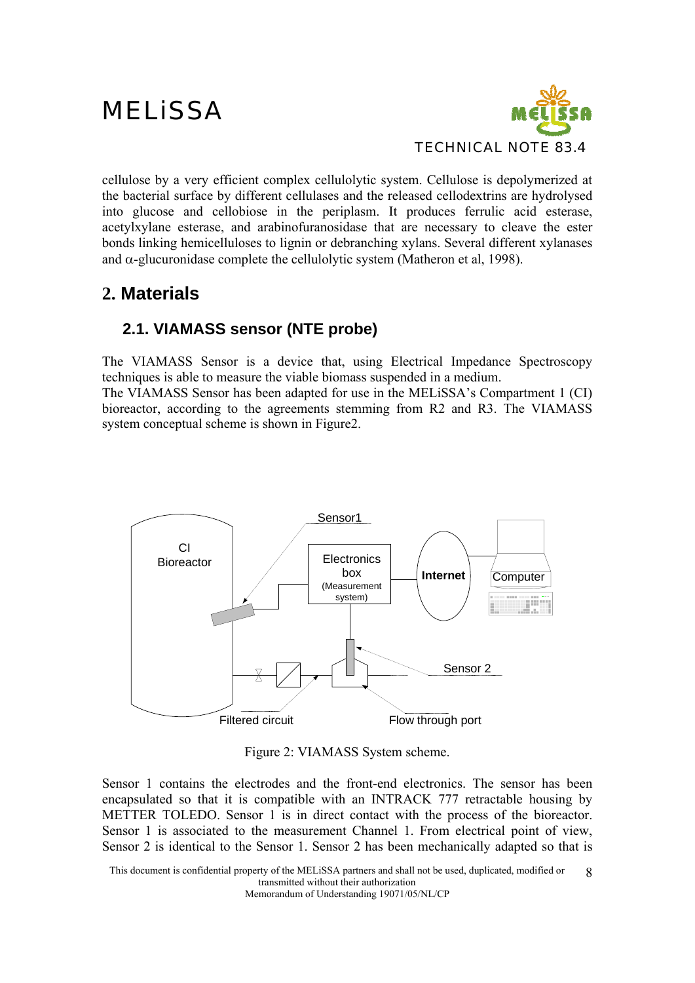

cellulose by a very efficient complex cellulolytic system. Cellulose is depolymerized at the bacterial surface by different cellulases and the released cellodextrins are hydrolysed into glucose and cellobiose in the periplasm. It produces ferrulic acid esterase, acetylxylane esterase, and arabinofuranosidase that are necessary to cleave the ester bonds linking hemicelluloses to lignin or debranching xylans. Several different xylanases and  $\alpha$ -glucuronidase complete the cellulolytic system (Matheron et al, 1998).

### **2. Materials**

### **2.1. VIAMASS sensor (NTE probe)**

The VIAMASS Sensor is a device that, using Electrical Impedance Spectroscopy techniques is able to measure the viable biomass suspended in a medium. The VIAMASS Sensor has been adapted for use in the MELiSSA's Compartment 1 (CI)

bioreactor, according to the agreements stemming from R2 and R3. The VIAMASS system conceptual scheme is shown in Figure2.



Figure 2: VIAMASS System scheme.

Sensor 1 contains the electrodes and the front-end electronics. The sensor has been encapsulated so that it is compatible with an INTRACK 777 retractable housing by METTER TOLEDO. Sensor 1 is in direct contact with the process of the bioreactor. Sensor 1 is associated to the measurement Channel 1. From electrical point of view, Sensor 2 is identical to the Sensor 1. Sensor 2 has been mechanically adapted so that is

This document is confidential property of the MELiSSA partners and shall not be used, duplicated, modified or transmitted without their authorization 8

Memorandum of Understanding 19071/05/NL/CP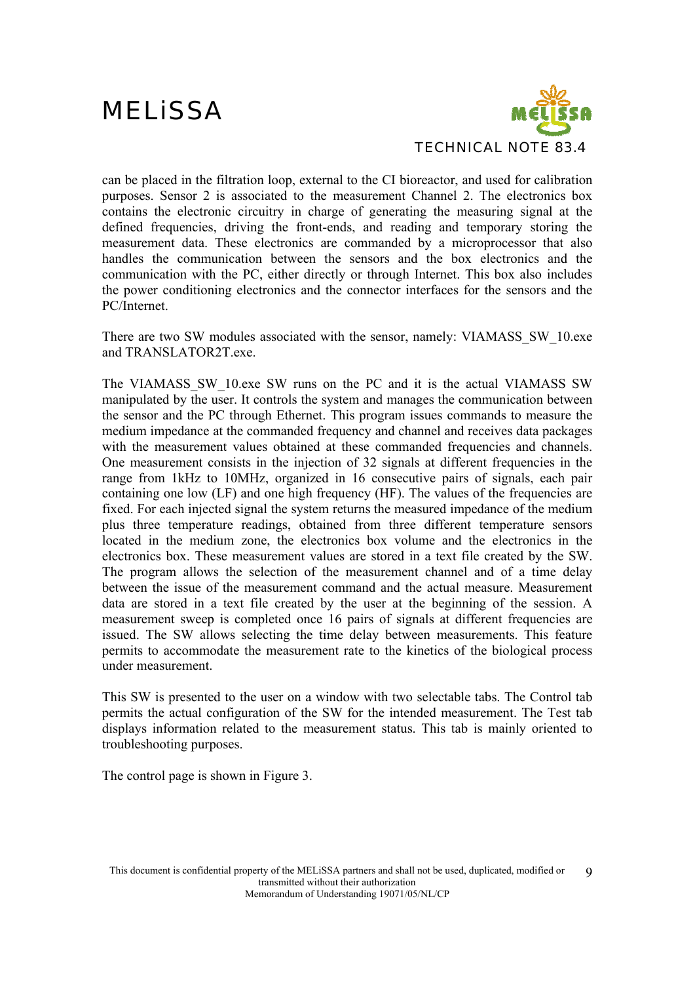

can be placed in the filtration loop, external to the CI bioreactor, and used for calibration purposes. Sensor 2 is associated to the measurement Channel 2. The electronics box contains the electronic circuitry in charge of generating the measuring signal at the defined frequencies, driving the front-ends, and reading and temporary storing the measurement data. These electronics are commanded by a microprocessor that also handles the communication between the sensors and the box electronics and the communication with the PC, either directly or through Internet. This box also includes the power conditioning electronics and the connector interfaces for the sensors and the PC/Internet.

There are two SW modules associated with the sensor, namely: VIAMASS\_SW\_10.exe and TRANSLATOR2T.exe.

The VIAMASS\_SW\_10.exe SW runs on the PC and it is the actual VIAMASS SW manipulated by the user. It controls the system and manages the communication between the sensor and the PC through Ethernet. This program issues commands to measure the medium impedance at the commanded frequency and channel and receives data packages with the measurement values obtained at these commanded frequencies and channels. One measurement consists in the injection of 32 signals at different frequencies in the range from 1kHz to 10MHz, organized in 16 consecutive pairs of signals, each pair containing one low (LF) and one high frequency (HF). The values of the frequencies are fixed. For each injected signal the system returns the measured impedance of the medium plus three temperature readings, obtained from three different temperature sensors located in the medium zone, the electronics box volume and the electronics in the electronics box. These measurement values are stored in a text file created by the SW. The program allows the selection of the measurement channel and of a time delay between the issue of the measurement command and the actual measure. Measurement data are stored in a text file created by the user at the beginning of the session. A measurement sweep is completed once 16 pairs of signals at different frequencies are issued. The SW allows selecting the time delay between measurements. This feature permits to accommodate the measurement rate to the kinetics of the biological process under measurement.

This SW is presented to the user on a window with two selectable tabs. The Control tab permits the actual configuration of the SW for the intended measurement. The Test tab displays information related to the measurement status. This tab is mainly oriented to troubleshooting purposes.

The control page is shown in Figure 3.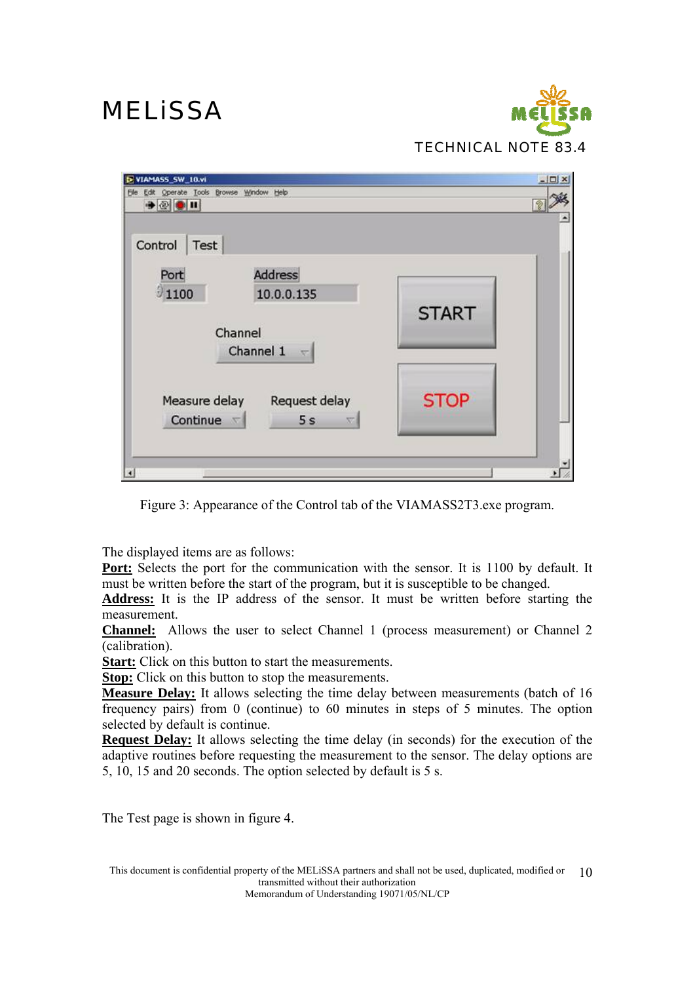

| E VIAMASS_SW_10.vi                                                                                    | $   \Box   \times  $ |
|-------------------------------------------------------------------------------------------------------|----------------------|
| Elle Edit Operate Tools Browse Window Help<br>$+ 2 1 1$                                               |                      |
| Control<br>Test<br>Port<br><b>Address</b><br>01100<br>10.0.0.135<br>Channel<br>Channel 1<br>$-\nabla$ | <b>START</b>         |
| Measure delay<br>Request delay<br>Continue $\nabla$<br>5s                                             | <b>STOP</b>          |
| $\vert \cdot \vert$                                                                                   |                      |

Figure 3: Appearance of the Control tab of the VIAMASS2T3.exe program.

The displayed items are as follows:

Port: Selects the port for the communication with the sensor. It is 1100 by default. It must be written before the start of the program, but it is susceptible to be changed.

**Address:** It is the IP address of the sensor. It must be written before starting the measurement.

**Channel:** Allows the user to select Channel 1 (process measurement) or Channel 2 (calibration).

**Start:** Click on this button to start the measurements.

**Stop:** Click on this button to stop the measurements.

**Measure Delay:** It allows selecting the time delay between measurements (batch of 16 frequency pairs) from 0 (continue) to 60 minutes in steps of 5 minutes. The option selected by default is continue.

**Request Delay:** It allows selecting the time delay (in seconds) for the execution of the adaptive routines before requesting the measurement to the sensor. The delay options are 5, 10, 15 and 20 seconds. The option selected by default is 5 s.

The Test page is shown in figure 4.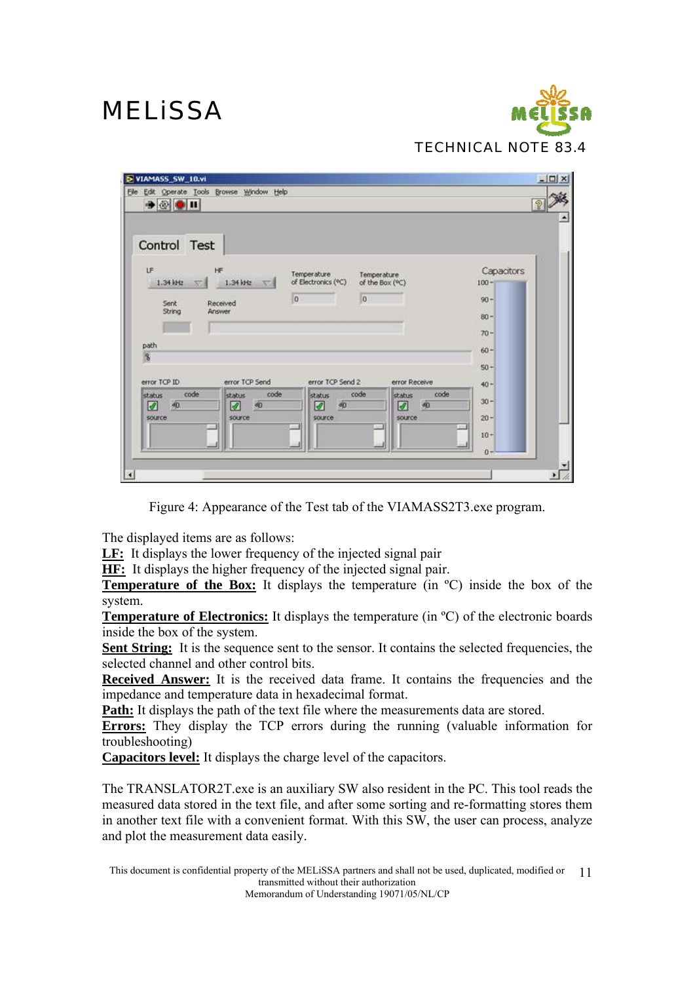

| Elle Edit Operate Tools Browse Window Help<br>$\bullet \otimes \bullet \mathbf{u}$  |                                  |                                          |                                      |                                              |
|-------------------------------------------------------------------------------------|----------------------------------|------------------------------------------|--------------------------------------|----------------------------------------------|
| Control Test<br><b>LF</b><br>HF<br>1.34 kHz<br>Received<br>Sent<br>String<br>Answer | 1.34 kHz                         | Temperature<br>of Electronics (°C)<br>10 | Temperature<br>of the Box (°C)<br> 0 | Capacitors<br>$100 -$<br>$90 -$<br>$80 -$    |
| path<br>$\mathbf{S}$<br>error TCP ID<br>code<br>status                              | error TCP Send<br>code<br>status | error TCP Send 2<br>status               | error Receive<br>code<br>status      | $70 -$<br>$60 -$<br>$50 -$<br>$40 -$<br>code |
| ☑<br>40.<br>source                                                                  | ☑<br>dŪ<br>source                | ☑<br>90<br>source                        | ☑<br><b>dO</b><br><b>SOURCE</b>      | $30 -$<br>$20 -$<br>$10 -$<br>$0 -$          |

Figure 4: Appearance of the Test tab of the VIAMASS2T3.exe program.

The displayed items are as follows:

**LF:** It displays the lower frequency of the injected signal pair

**HF:** It displays the higher frequency of the injected signal pair.

**Temperature of the Box:** It displays the temperature (in <sup>o</sup>C) inside the box of the system.

**Temperature of Electronics:** It displays the temperature (in ºC) of the electronic boards inside the box of the system.

Sent String: It is the sequence sent to the sensor. It contains the selected frequencies, the selected channel and other control bits.

**Received Answer:** It is the received data frame. It contains the frequencies and the impedance and temperature data in hexadecimal format.

**Path:** It displays the path of the text file where the measurements data are stored.

**Errors:** They display the TCP errors during the running (valuable information for troubleshooting)

**Capacitors level:** It displays the charge level of the capacitors.

The TRANSLATOR2T.exe is an auxiliary SW also resident in the PC. This tool reads the measured data stored in the text file, and after some sorting and re-formatting stores them in another text file with a convenient format. With this SW, the user can process, analyze and plot the measurement data easily.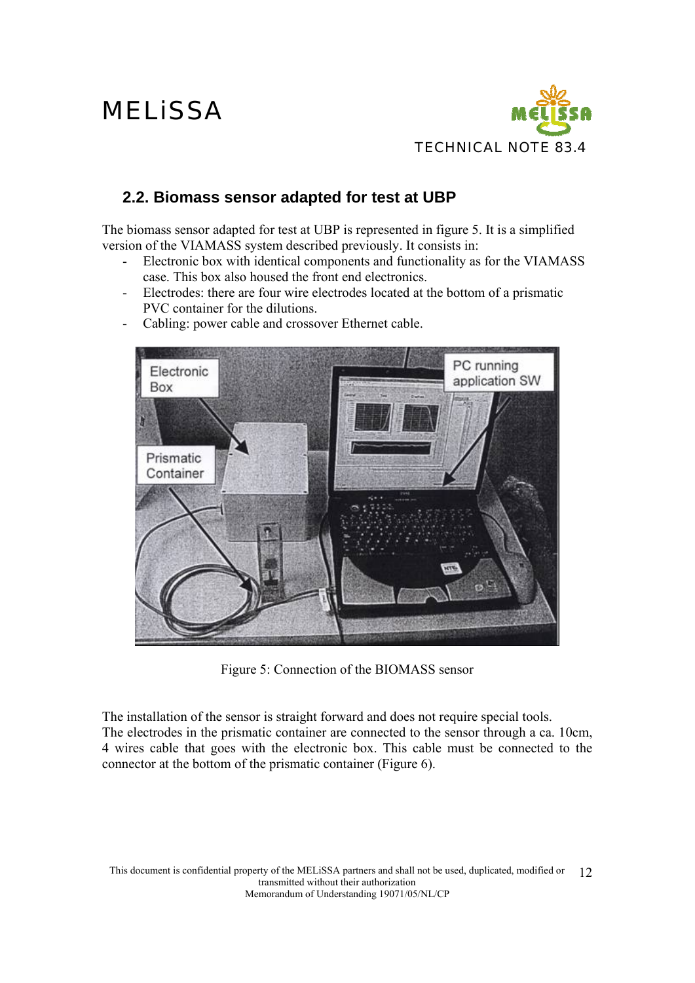

### **2.2. Biomass sensor adapted for test at UBP**

The biomass sensor adapted for test at UBP is represented in figure 5. It is a simplified version of the VIAMASS system described previously. It consists in:

- Electronic box with identical components and functionality as for the VIAMASS case. This box also housed the front end electronics.
- Electrodes: there are four wire electrodes located at the bottom of a prismatic PVC container for the dilutions.
- Cabling: power cable and crossover Ethernet cable.



Figure 5: Connection of the BIOMASS sensor

The installation of the sensor is straight forward and does not require special tools. The electrodes in the prismatic container are connected to the sensor through a ca. 10cm, 4 wires cable that goes with the electronic box. This cable must be connected to the connector at the bottom of the prismatic container (Figure 6).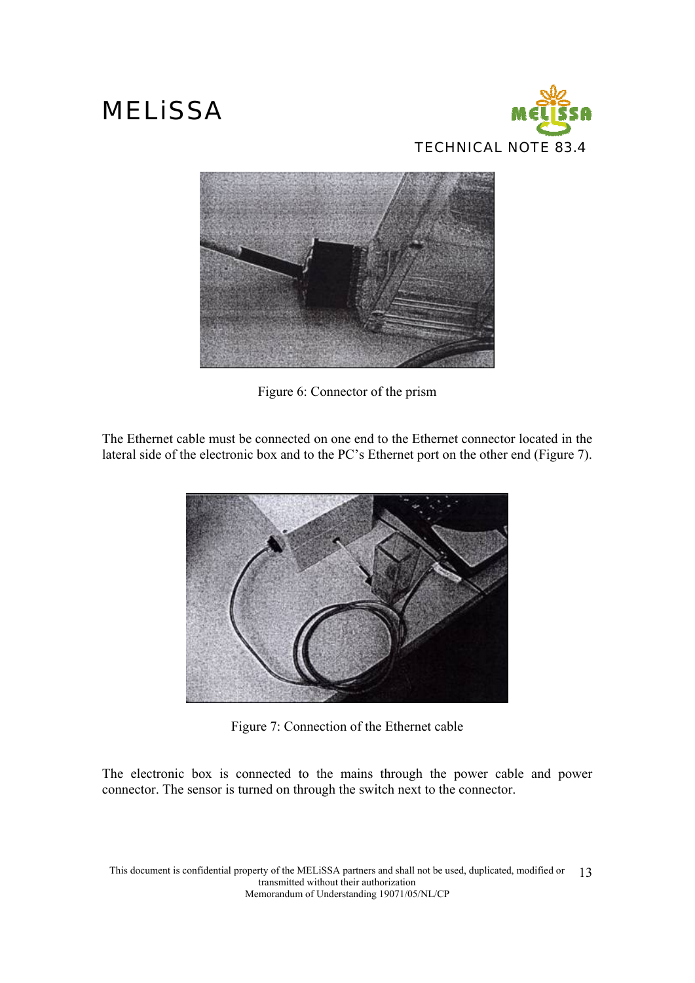



Figure 6: Connector of the prism

The Ethernet cable must be connected on one end to the Ethernet connector located in the lateral side of the electronic box and to the PC's Ethernet port on the other end (Figure 7).



Figure 7: Connection of the Ethernet cable

The electronic box is connected to the mains through the power cable and power connector. The sensor is turned on through the switch next to the connector.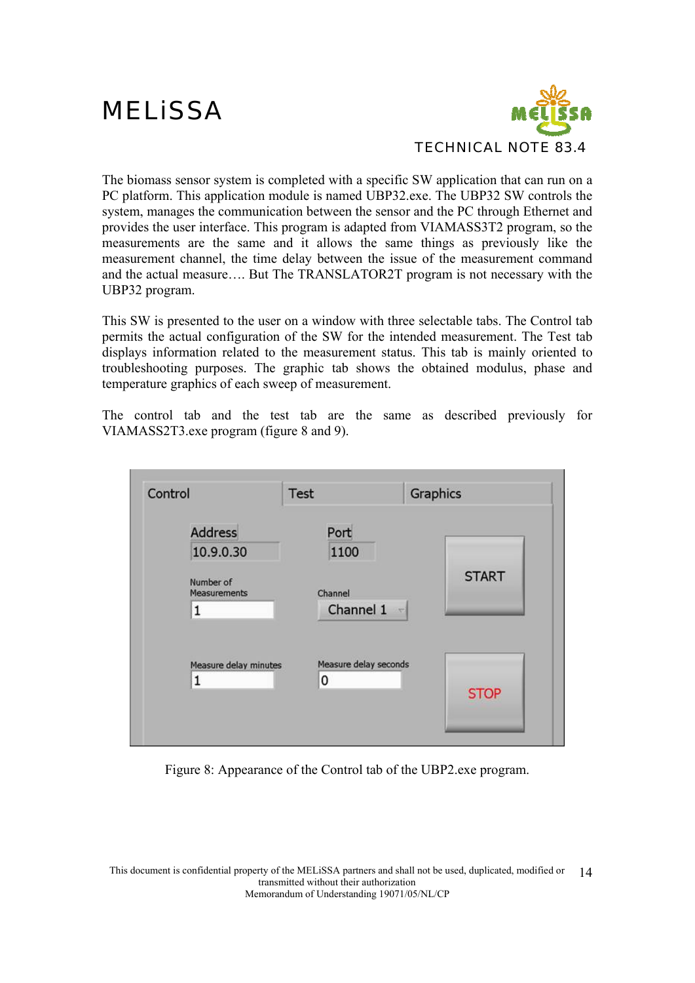

The biomass sensor system is completed with a specific SW application that can run on a PC platform. This application module is named UBP32.exe. The UBP32 SW controls the system, manages the communication between the sensor and the PC through Ethernet and provides the user interface. This program is adapted from VIAMASS3T2 program, so the measurements are the same and it allows the same things as previously like the measurement channel, the time delay between the issue of the measurement command and the actual measure…. But The TRANSLATOR2T program is not necessary with the UBP32 program.

This SW is presented to the user on a window with three selectable tabs. The Control tab permits the actual configuration of the SW for the intended measurement. The Test tab displays information related to the measurement status. This tab is mainly oriented to troubleshooting purposes. The graphic tab shows the obtained modulus, phase and temperature graphics of each sweep of measurement.

The control tab and the test tab are the same as described previously for VIAMASS2T3.exe program (figure 8 and 9).



Figure 8: Appearance of the Control tab of the UBP2.exe program.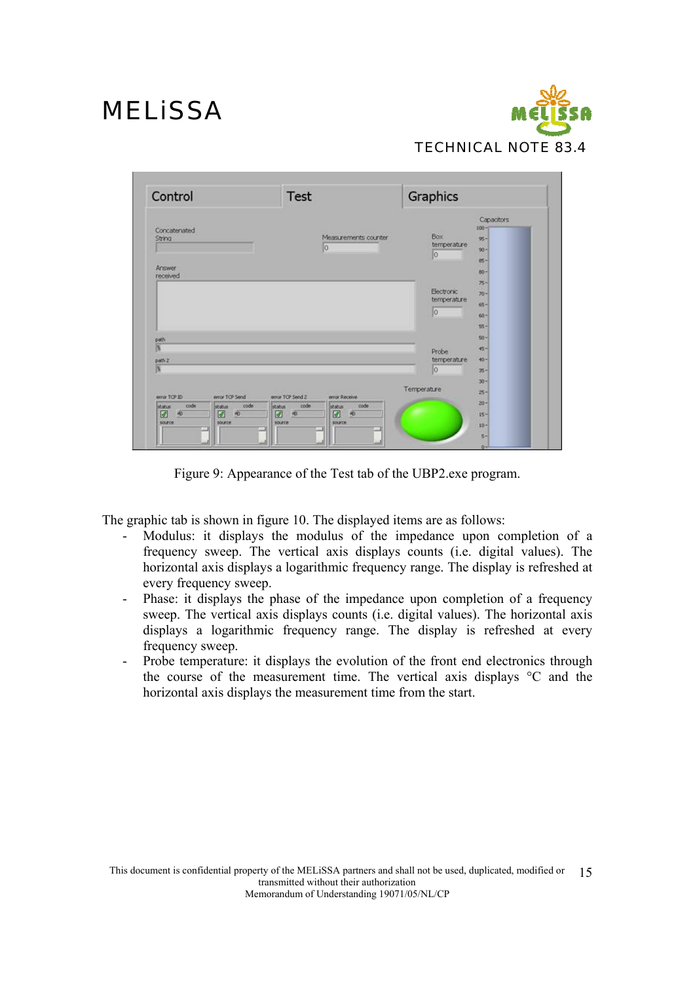

| Control                                                                    | Test                                                                                                         |                         | Graphics                    |                                                     |
|----------------------------------------------------------------------------|--------------------------------------------------------------------------------------------------------------|-------------------------|-----------------------------|-----------------------------------------------------|
| Concatenated<br>String                                                     | lο                                                                                                           | Measurements counter    | Box<br>temperature.<br>0    | Capacitors<br>$100 -$<br>$95 -$<br>$90 -$<br>$85 -$ |
| <b>Answer</b><br>received                                                  |                                                                                                              |                         | <b>Electronic</b>           | $80 -$<br>$75 -$<br>$70 -$                          |
|                                                                            |                                                                                                              |                         | temperature<br>lo.          | 65-<br>$60 -$<br>$55 -$                             |
| path<br>$\overline{\mathbf{R}}$                                            |                                                                                                              |                         |                             | $50 -$<br>45-                                       |
| path 2<br>厦                                                                |                                                                                                              |                         | Probe<br>temperature<br>lo. | $+0-$<br>$25 -$                                     |
| error TCP ID<br>error TCP Send                                             | error TCP Send 2<br>error Receive                                                                            |                         | Temperature                 | $30 -$<br>$25 -$                                    |
| code<br><b>Status</b><br>status<br>40<br>Ø<br>Ø<br><b>SOURCE</b><br>source | code<br>code<br>status<br>status<br>$\infty$<br>$\overline{\Phi}$<br>☑<br>Ø<br>SOUPCO <sup>2</sup><br>source | code<br>$\overline{40}$ |                             | $20 -$<br>$15 -$<br>$10 -$                          |
|                                                                            |                                                                                                              |                         |                             | $5 -$                                               |

Figure 9: Appearance of the Test tab of the UBP2.exe program.

The graphic tab is shown in figure 10. The displayed items are as follows:

- Modulus: it displays the modulus of the impedance upon completion of a frequency sweep. The vertical axis displays counts (i.e. digital values). The horizontal axis displays a logarithmic frequency range. The display is refreshed at every frequency sweep.
- Phase: it displays the phase of the impedance upon completion of a frequency sweep. The vertical axis displays counts (i.e. digital values). The horizontal axis displays a logarithmic frequency range. The display is refreshed at every frequency sweep.
- Probe temperature: it displays the evolution of the front end electronics through the course of the measurement time. The vertical axis displays °C and the horizontal axis displays the measurement time from the start.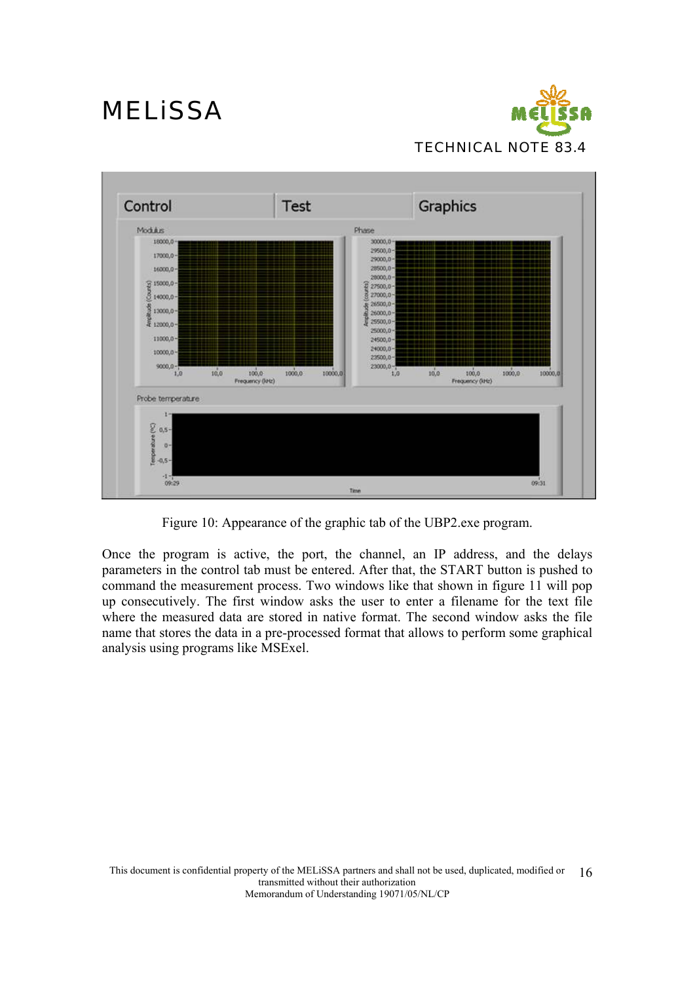



Figure 10: Appearance of the graphic tab of the UBP2.exe program.

Once the program is active, the port, the channel, an IP address, and the delays parameters in the control tab must be entered. After that, the START button is pushed to command the measurement process. Two windows like that shown in figure 11 will pop up consecutively. The first window asks the user to enter a filename for the text file where the measured data are stored in native format. The second window asks the file name that stores the data in a pre-processed format that allows to perform some graphical analysis using programs like MSExel.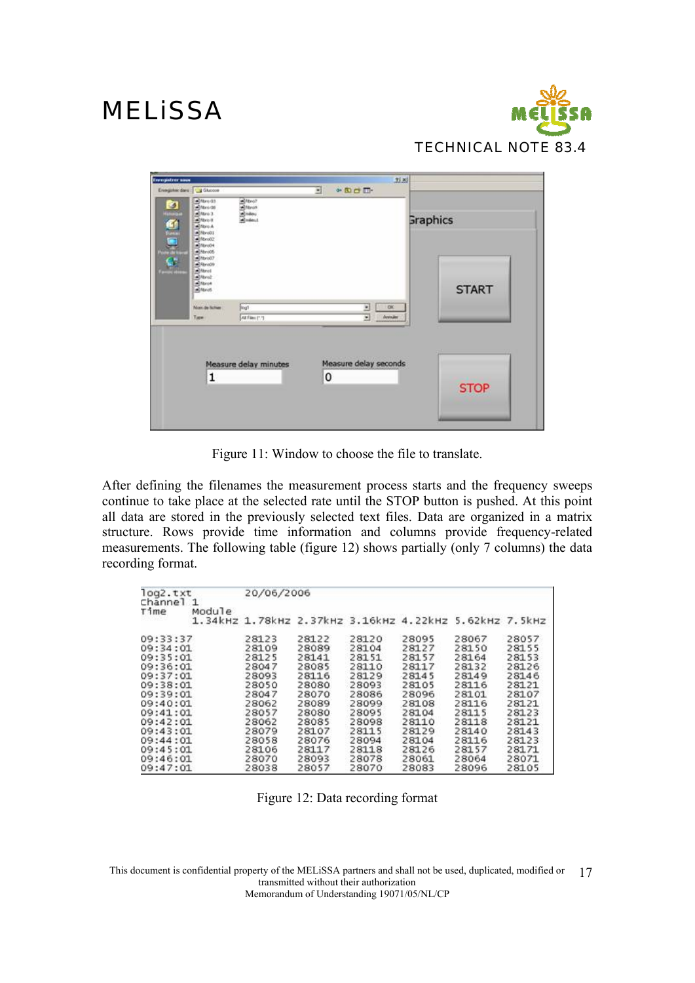

| <b>Trengistrer sous</b><br>Enegates dans: 14 Glucose |                                                                                                                                                               |                                                    | $\bullet$ <b>E</b> $\bullet$ <b>E</b><br>Ξ | 刘凶                              |
|------------------------------------------------------|---------------------------------------------------------------------------------------------------------------------------------------------------------------|----------------------------------------------------|--------------------------------------------|---------------------------------|
|                                                      | Stero 03<br>M<br>Althro it<br>Althout<br>Stevens<br>Stevens<br>althro04<br>Althroot<br>dittivo07<br>C-Brook<br>Athrod<br>althrod<br>all filteroit<br>althout. | Altro?<br>d <sup>iteron</sup><br>Simboy<br>Simboyi |                                            | <b>Graphics</b><br><b>START</b> |
|                                                      | Non de famer<br>Type                                                                                                                                          | logi<br>All Film (1.1)                             | <b>OK</b><br>÷<br>⊡<br><b>Arriváns</b>     |                                 |
|                                                      | 1                                                                                                                                                             | Measure delay minutes                              | Measure delay seconds<br>0                 | <b>STOP</b>                     |

Figure 11: Window to choose the file to translate.

After defining the filenames the measurement process starts and the frequency sweeps continue to take place at the selected rate until the STOP button is pushed. At this point all data are stored in the previously selected text files. Data are organized in a matrix structure. Rows provide time information and columns provide frequency-related measurements. The following table (figure 12) shows partially (only 7 columns) the data recording format.

| log2.txt<br>Channel | $\mathbf{1}$ | 20/06/2006 |       |       |                                                        |       |       |
|---------------------|--------------|------------|-------|-------|--------------------------------------------------------|-------|-------|
| Time                | Module       |            |       |       | 1.34kHz 1.78kHz 2.37kHz 3.16kHz 4.22kHz 5.62kHz 7.5kHz |       |       |
| 09:33:37            |              | 28123      | 28122 | 28120 | 28095                                                  | 28067 | 28057 |
| 09:34:01            |              | 28109      | 28089 | 28104 | 28127                                                  | 28150 | 28155 |
| 09:35:01            |              | 28125      | 28141 | 28151 | 28157                                                  | 28164 | 28153 |
| 09:36:01            |              | 28047      | 28085 | 28110 | 28117                                                  | 28132 | 28126 |
| 09:37:01            |              | 28093      | 28116 | 28129 | 28145                                                  | 28149 | 28146 |
| 09:38:01            |              | 28050      | 28080 | 28093 | 28105                                                  | 28116 | 28121 |
| 09:39:01            |              | 28047      | 28070 | 28086 | 28096                                                  | 28101 | 28107 |
| 09:40:01            |              | 28062      | 28089 | 28099 | 28108                                                  | 28116 | 28121 |
| 09:41:01            |              | 28057      | 28080 | 28095 | 28104                                                  | 28115 | 28123 |
| 09:42:01            |              | 28062      | 28085 | 28098 | 28110                                                  | 28118 | 28121 |
| 09:43:01            |              | 28079      | 28107 | 28115 | 28129                                                  | 28140 | 28143 |
| 09:44:01            |              | 28058      | 28076 | 28094 | 28104                                                  | 28116 | 28123 |
| 09:45:01            |              | 28106      | 28117 | 28118 | 28126                                                  | 28157 | 28171 |
| 09:46:01            |              | 28070      | 28093 | 28078 | 28061                                                  | 28064 | 28071 |
| 09:47:01            |              | 28038      | 28057 | 28070 | 28083                                                  | 28096 | 28105 |

Figure 12: Data recording format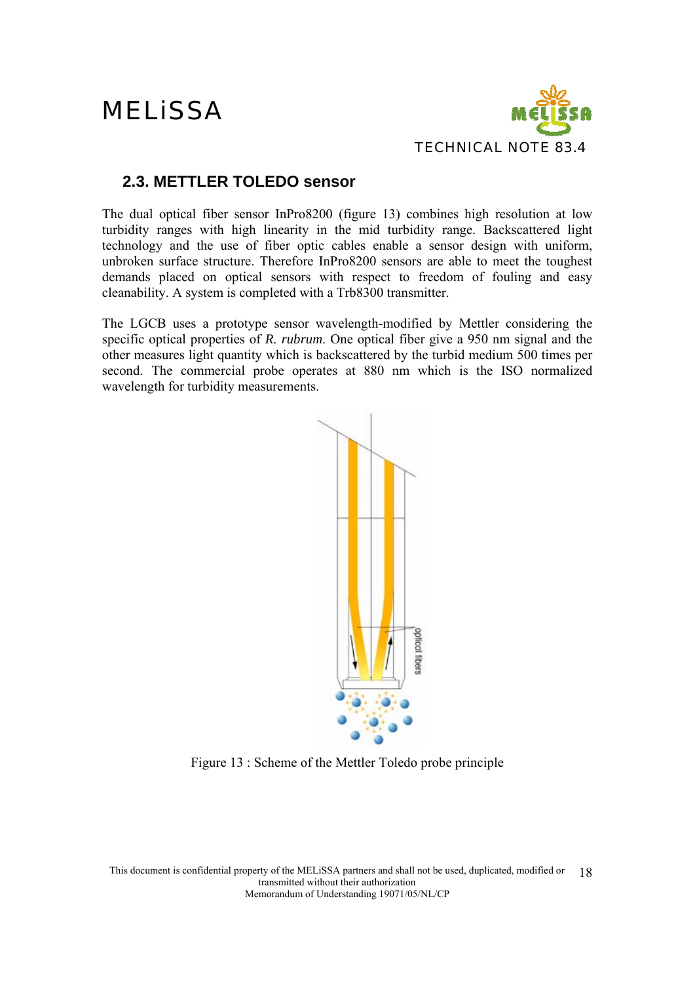

### **2.3. METTLER TOLEDO sensor**

The dual optical fiber sensor InPro8200 (figure 13) combines high resolution at low turbidity ranges with high linearity in the mid turbidity range. Backscattered light technology and the use of fiber optic cables enable a sensor design with uniform, unbroken surface structure. Therefore InPro8200 sensors are able to meet the toughest demands placed on optical sensors with respect to freedom of fouling and easy cleanability. A system is completed with a Trb8300 transmitter.

The LGCB uses a prototype sensor wavelength-modified by Mettler considering the specific optical properties of *R. rubrum*. One optical fiber give a 950 nm signal and the other measures light quantity which is backscattered by the turbid medium 500 times per second. The commercial probe operates at 880 nm which is the ISO normalized wavelength for turbidity measurements.



Figure 13 : Scheme of the Mettler Toledo probe principle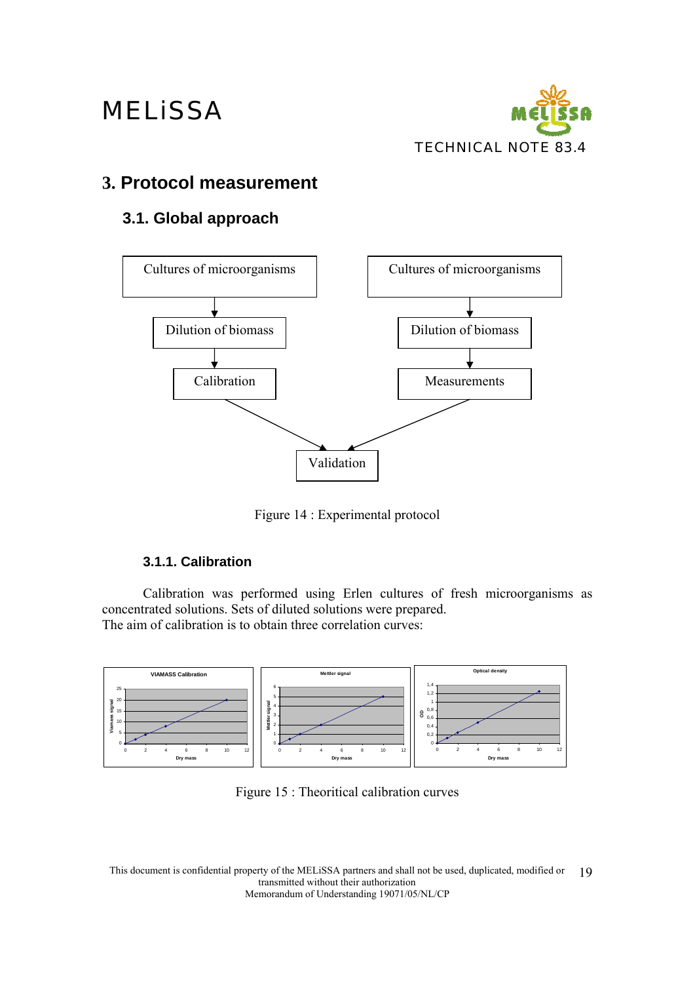

### **3. Protocol measurement**

### **3.1. Global approach**



Figure 14 : Experimental protocol

### **3.1.1. Calibration**

Calibration was performed using Erlen cultures of fresh microorganisms as concentrated solutions. Sets of diluted solutions were prepared. The aim of calibration is to obtain three correlation curves:



Figure 15 : Theoritical calibration curves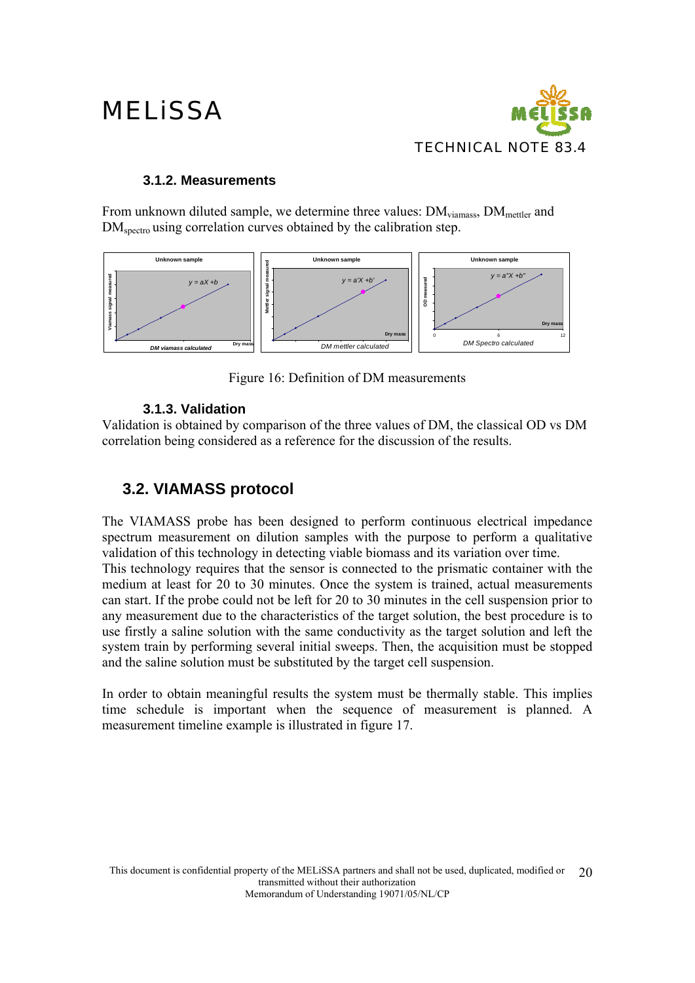

#### **3.1.2. Measurements**

From unknown diluted sample, we determine three values: DM<sub>viamass</sub>, DM<sub>mettler</sub> and DM<sub>spectro</sub> using correlation curves obtained by the calibration step.



Figure 16: Definition of DM measurements

#### **3.1.3. Validation**

Validation is obtained by comparison of the three values of DM, the classical OD vs DM correlation being considered as a reference for the discussion of the results.

### **3.2. VIAMASS protocol**

The VIAMASS probe has been designed to perform continuous electrical impedance spectrum measurement on dilution samples with the purpose to perform a qualitative validation of this technology in detecting viable biomass and its variation over time. This technology requires that the sensor is connected to the prismatic container with the medium at least for 20 to 30 minutes. Once the system is trained, actual measurements can start. If the probe could not be left for 20 to 30 minutes in the cell suspension prior to any measurement due to the characteristics of the target solution, the best procedure is to use firstly a saline solution with the same conductivity as the target solution and left the system train by performing several initial sweeps. Then, the acquisition must be stopped and the saline solution must be substituted by the target cell suspension.

In order to obtain meaningful results the system must be thermally stable. This implies time schedule is important when the sequence of measurement is planned. A measurement timeline example is illustrated in figure 17.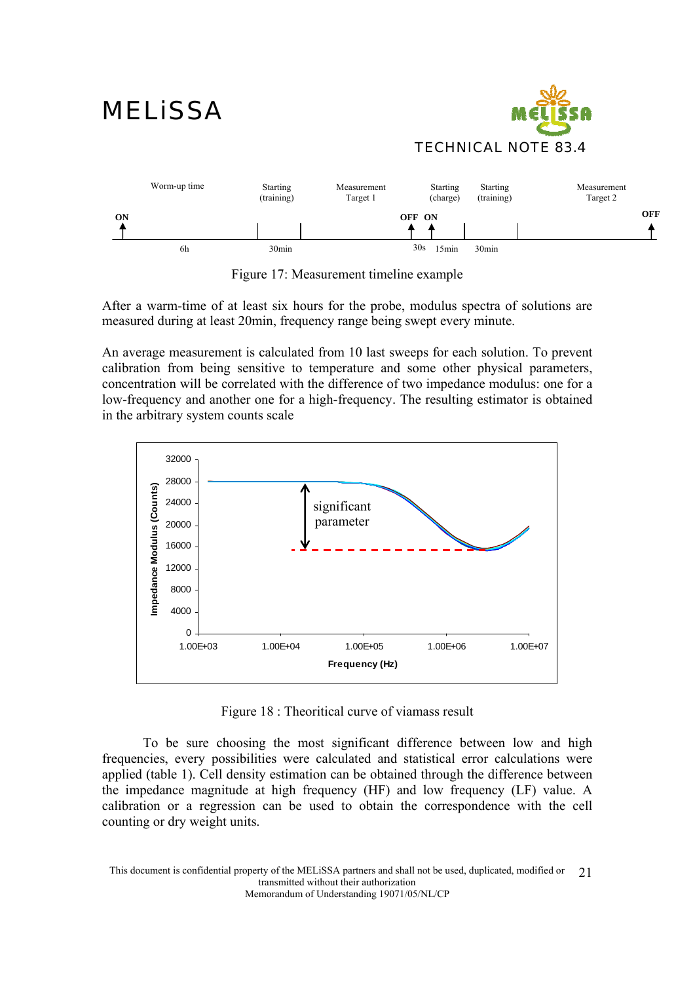

Figure 17: Measurement timeline example

After a warm-time of at least six hours for the probe, modulus spectra of solutions are measured during at least 20min, frequency range being swept every minute.

An average measurement is calculated from 10 last sweeps for each solution. To prevent calibration from being sensitive to temperature and some other physical parameters, concentration will be correlated with the difference of two impedance modulus: one for a low-frequency and another one for a high-frequency. The resulting estimator is obtained in the arbitrary system counts scale



Figure 18 : Theoritical curve of viamass result

 To be sure choosing the most significant difference between low and high frequencies, every possibilities were calculated and statistical error calculations were applied (table 1). Cell density estimation can be obtained through the difference between the impedance magnitude at high frequency (HF) and low frequency (LF) value. A calibration or a regression can be used to obtain the correspondence with the cell counting or dry weight units.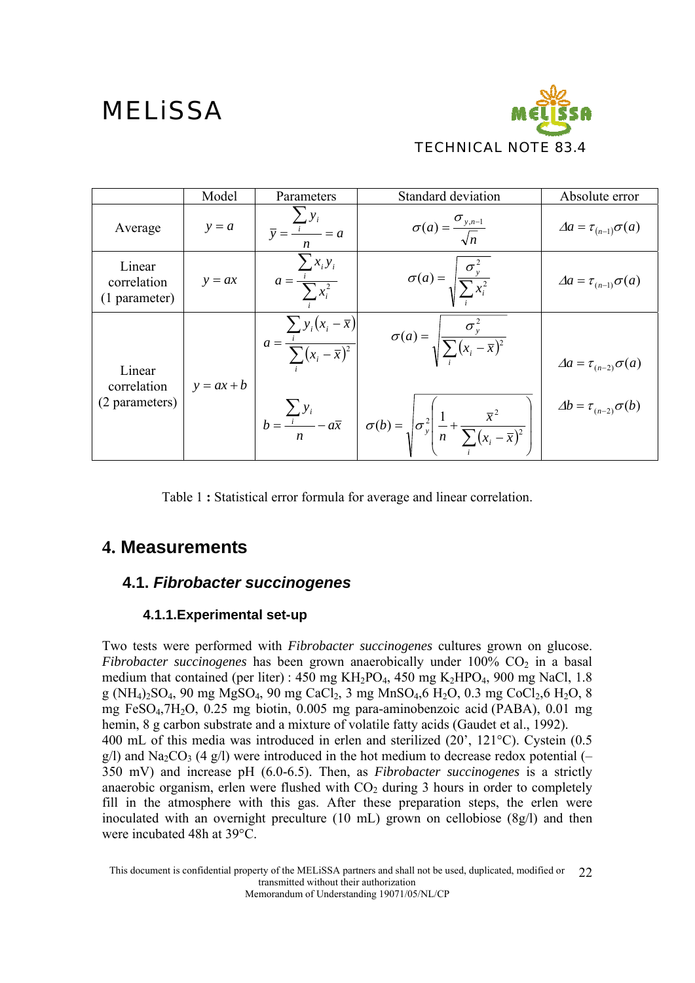

|                                         | Model        | Parameters                                                                  | Standard deviation                                                                                                                                                                                                             | Absolute error                                                           |
|-----------------------------------------|--------------|-----------------------------------------------------------------------------|--------------------------------------------------------------------------------------------------------------------------------------------------------------------------------------------------------------------------------|--------------------------------------------------------------------------|
| Average                                 | $y = a$      | $\overline{v} = \frac{i}{a} = a$<br>$\boldsymbol{n}$                        | $\sigma(a) = \frac{\sigma_{y,n-1}}{\sqrt{n}}$                                                                                                                                                                                  | $\Delta a = \tau_{(n-1)}\sigma(a)$                                       |
| Linear<br>correlation<br>(1 parameter)  | $y = ax$     | $\sum x_i y_i$<br>$a = \frac{1}{\sum x_i^2}$                                | $\sigma(a) = \sqrt{\frac{\sigma_y^2}{\sum x_i^2}}$                                                                                                                                                                             | $\Delta a = \tau_{(n-1)} \sigma(a)$                                      |
| Linear<br>correlation<br>(2 parameters) | $y = ax + b$ | $a = \frac{\sum_i y_i (x_i - \overline{x})}{\sum_i (x_i - \overline{x})^2}$ | $\sigma(a) = \sqrt{\frac{\sigma_y^2}{\sum (x_i - \bar{x})^2}}$<br>$b = \frac{\sum_i y_i}{n} - a\overline{x}$ $\sigma(b) = \sqrt{\sigma_y^2 \left( \frac{1}{n} + \frac{\overline{x}^2}{\sum_i (x_i - \overline{x})^2} \right)}$ | $\Delta a = \tau_{(n-2)}\sigma(a)$<br>$\Delta b = \tau_{(n-2)}\sigma(b)$ |

Table 1 **:** Statistical error formula for average and linear correlation.

### **4. Measurements**

### **4.1.** *Fibrobacter succinogenes*

### **4.1.1.Experimental set-up**

Two tests were performed with *Fibrobacter succinogenes* cultures grown on glucose. *Fibrobacter succinogenes* has been grown anaerobically under 100% CO<sub>2</sub> in a basal medium that contained (per liter) : 450 mg KH2PO4, 450 mg K2HPO4, 900 mg NaCl, 1.8 g (NH<sub>4</sub>)<sub>2</sub>SO<sub>4</sub>, 90 mg MgSO<sub>4</sub>, 90 mg CaCl<sub>2</sub>, 3 mg MnSO<sub>4</sub>, 6 H<sub>2</sub>O, 0.3 mg CoCl<sub>2</sub>, 6 H<sub>2</sub>O, 8 mg FeSO4,7H2O, 0.25 mg biotin, 0.005 mg para-aminobenzoic acid (PABA), 0.01 mg hemin, 8 g carbon substrate and a mixture of volatile fatty acids (Gaudet et al., 1992). 400 mL of this media was introduced in erlen and sterilized (20', 121°C). Cystein (0.5  $g(1)$  and Na<sub>2</sub>CO<sub>3</sub> (4  $g(1)$ ) were introduced in the hot medium to decrease redox potential (-350 mV) and increase pH (6.0-6.5). Then, as *Fibrobacter succinogenes* is a strictly anaerobic organism, erlen were flushed with  $CO<sub>2</sub>$  during 3 hours in order to completely fill in the atmosphere with this gas. After these preparation steps, the erlen were inoculated with an overnight preculture (10 mL) grown on cellobiose (8g/l) and then were incubated 48h at 39°C.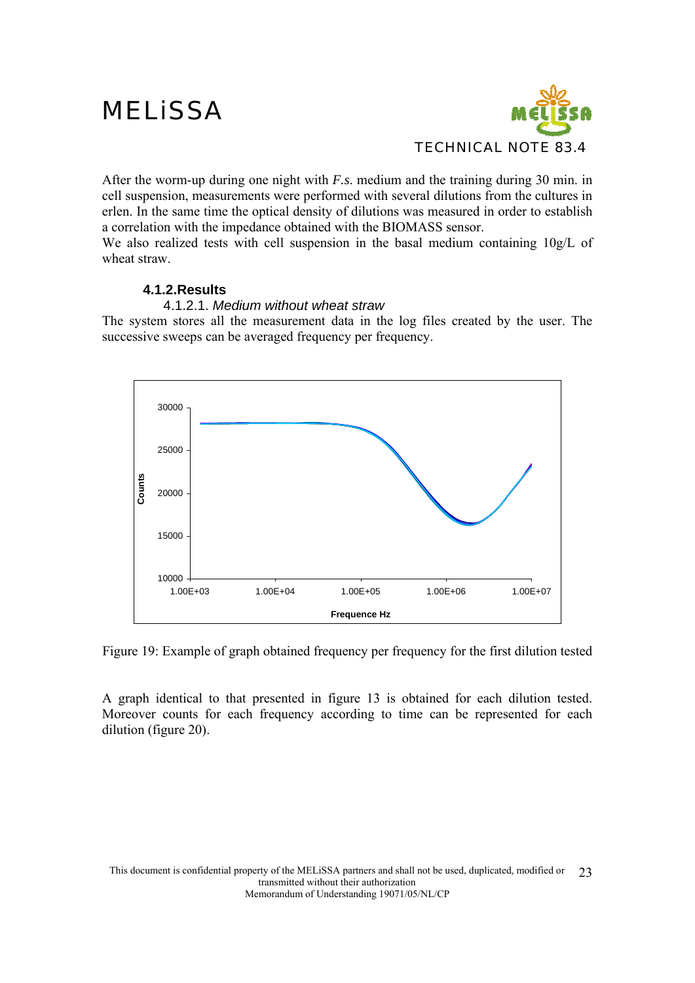

After the worm-up during one night with *F.s*. medium and the training during 30 min. in cell suspension, measurements were performed with several dilutions from the cultures in erlen. In the same time the optical density of dilutions was measured in order to establish a correlation with the impedance obtained with the BIOMASS sensor.

We also realized tests with cell suspension in the basal medium containing 10g/L of wheat straw.

### **4.1.2.Results**

#### 4.1.2.1. *Medium without wheat straw*

The system stores all the measurement data in the log files created by the user. The successive sweeps can be averaged frequency per frequency.



Figure 19: Example of graph obtained frequency per frequency for the first dilution tested

A graph identical to that presented in figure 13 is obtained for each dilution tested. Moreover counts for each frequency according to time can be represented for each dilution (figure 20).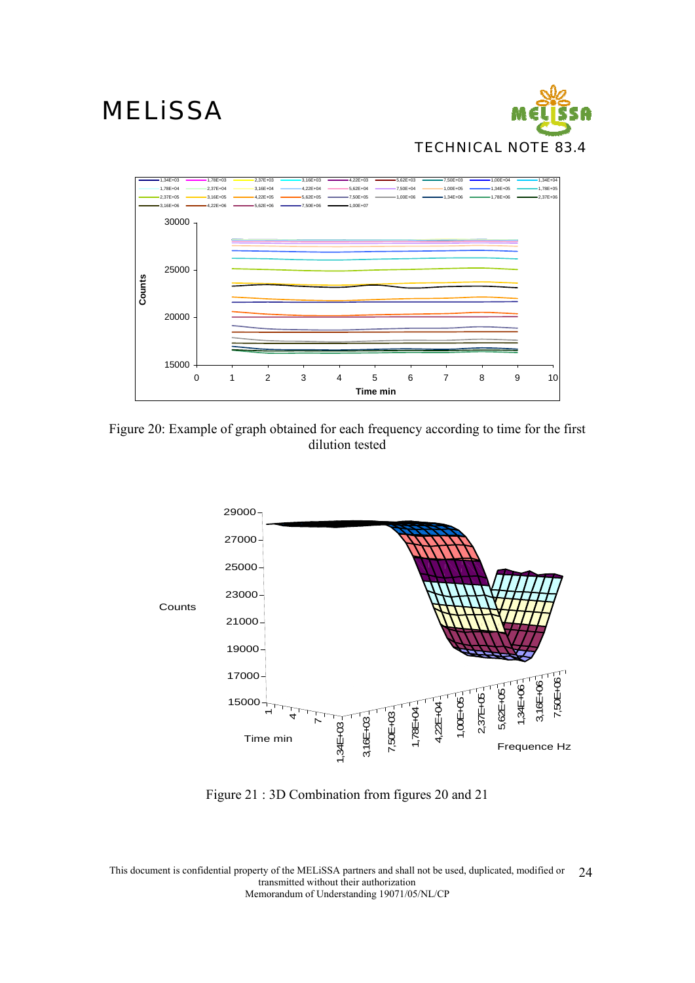



Figure 20: Example of graph obtained for each frequency according to time for the first dilution tested



Figure 21 : 3D Combination from figures 20 and 21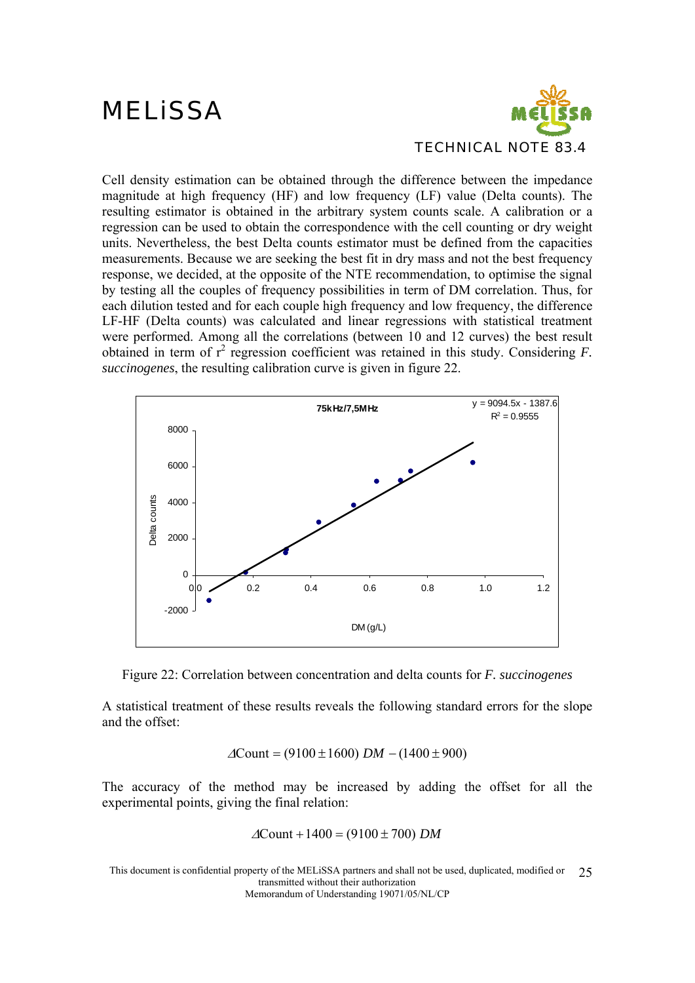

Cell density estimation can be obtained through the difference between the impedance magnitude at high frequency (HF) and low frequency (LF) value (Delta counts). The resulting estimator is obtained in the arbitrary system counts scale. A calibration or a regression can be used to obtain the correspondence with the cell counting or dry weight units. Nevertheless, the best Delta counts estimator must be defined from the capacities measurements. Because we are seeking the best fit in dry mass and not the best frequency response, we decided, at the opposite of the NTE recommendation, to optimise the signal by testing all the couples of frequency possibilities in term of DM correlation. Thus, for each dilution tested and for each couple high frequency and low frequency, the difference LF-HF (Delta counts) was calculated and linear regressions with statistical treatment were performed. Among all the correlations (between 10 and 12 curves) the best result obtained in term of  $r^2$  regression coefficient was retained in this study. Considering  $F$ . *succinogenes*, the resulting calibration curve is given in figure 22.





A statistical treatment of these results reveals the following standard errors for the slope and the offset:

$$
\Delta \text{Count} = (9100 \pm 1600) \, DM - (1400 \pm 900)
$$

The accuracy of the method may be increased by adding the offset for all the experimental points, giving the final relation:

$$
\Delta
$$
Count + 1400 = (9100 ± 700) *DM*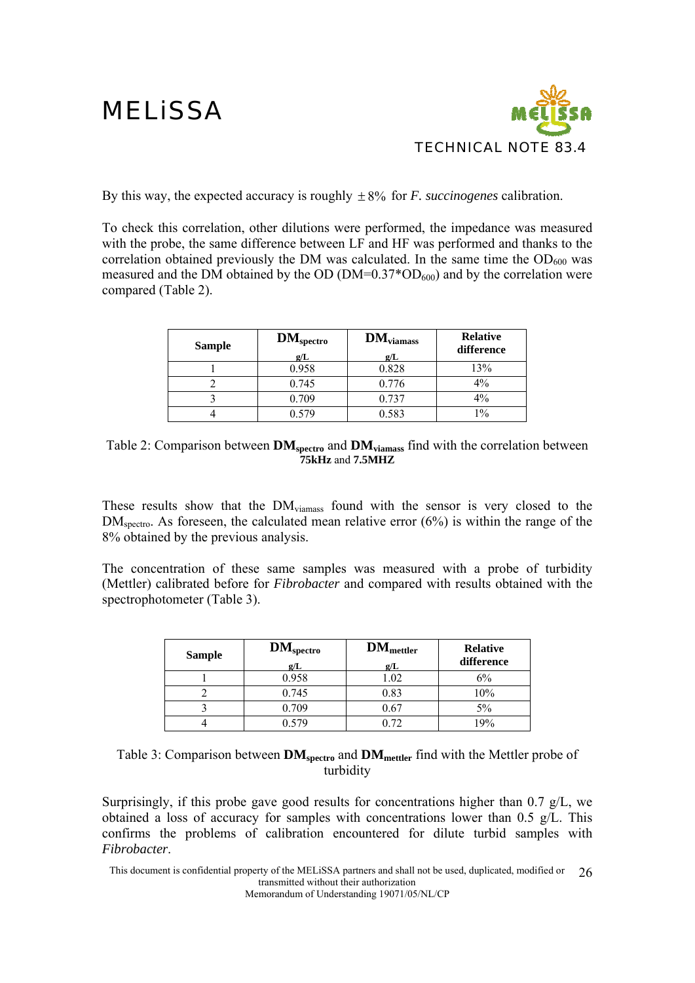

By this way, the expected accuracy is roughly ± 8% for *F. succinogenes* calibration.

To check this correlation, other dilutions were performed, the impedance was measured with the probe, the same difference between LF and HF was performed and thanks to the correlation obtained previously the DM was calculated. In the same time the  $OD<sub>600</sub>$  was measured and the DM obtained by the OD ( $DM=0.37*OD_{600}$ ) and by the correlation were compared (Table 2).

| <b>Sample</b> | $\mathbf{DM}_{\text{spectro}}$<br>g/L | $DM_{\text{viamass}}$<br>g/L | <b>Relative</b><br>difference |
|---------------|---------------------------------------|------------------------------|-------------------------------|
|               | 0.958                                 | 0.828                        | 13%                           |
|               | 0.745                                 | 0.776                        | $4\%$                         |
|               | 0.709                                 | 0.737                        | $4\%$                         |
|               | በ 579                                 | 0.583                        | $1\%$                         |

Table 2: Comparison between **DMspectro** and **DMviamass** find with the correlation between **75kHz** and **7.5MHZ**

These results show that the DMviamass found with the sensor is very closed to the DM<sub>spectro</sub>. As foreseen, the calculated mean relative error (6%) is within the range of the 8% obtained by the previous analysis.

The concentration of these same samples was measured with a probe of turbidity (Mettler) calibrated before for *Fibrobacter* and compared with results obtained with the spectrophotometer (Table 3).

| <b>Sample</b> | $DM_{\text{spectro}}$<br>g/L | $\mathbf{DM}_{\text{mettler}}$<br>g/L | <b>Relative</b><br>difference |
|---------------|------------------------------|---------------------------------------|-------------------------------|
|               | 0.958                        | 1.02                                  | 6%                            |
|               | 0.745                        | 0.83                                  | 10%                           |
|               | 0.709                        | 0.67                                  | $5\%$                         |
|               | 0 579                        | 0.72                                  | 19%                           |

Table 3: Comparison between **DM**<sub>spectro</sub> and **DM**<sub>mettler</sub> find with the Mettler probe of turbidity

Surprisingly, if this probe gave good results for concentrations higher than 0.7 g/L, we obtained a loss of accuracy for samples with concentrations lower than 0.5 g/L. This confirms the problems of calibration encountered for dilute turbid samples with *Fibrobacter*.

This document is confidential property of the MELiSSA partners and shall not be used, duplicated, modified or transmitted without their authorization 26

Memorandum of Understanding 19071/05/NL/CP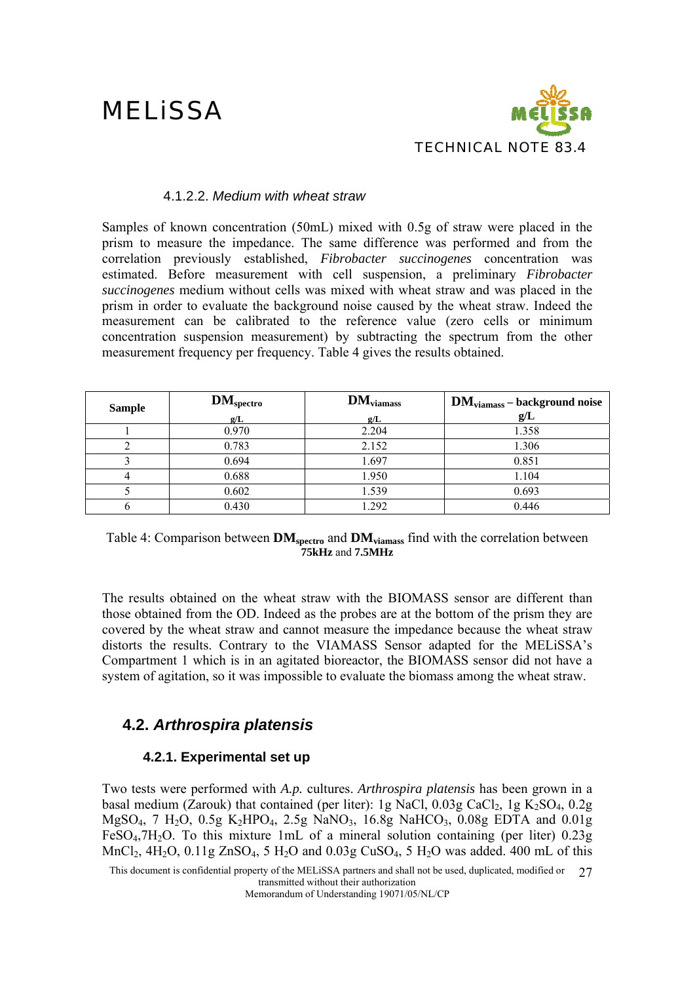

#### 4.1.2.2. *Medium with wheat straw*

Samples of known concentration (50mL) mixed with 0.5g of straw were placed in the prism to measure the impedance. The same difference was performed and from the correlation previously established, *Fibrobacter succinogenes* concentration was estimated. Before measurement with cell suspension, a preliminary *Fibrobacter succinogenes* medium without cells was mixed with wheat straw and was placed in the prism in order to evaluate the background noise caused by the wheat straw. Indeed the measurement can be calibrated to the reference value (zero cells or minimum concentration suspension measurement) by subtracting the spectrum from the other measurement frequency per frequency. Table 4 gives the results obtained.

| <b>Sample</b> | <b>DM</b> <sub>spectro</sub> | $DM_{\text{viamass}}$ | <b>DM</b> <sub>viamass</sub> – background noise |
|---------------|------------------------------|-----------------------|-------------------------------------------------|
|               | g/L                          | g/L                   | g/L                                             |
|               | 0.970                        | 2.204                 | 1.358                                           |
|               | 0.783                        | 2.152                 | 1.306                                           |
|               | 0.694                        | 1.697                 | 0.851                                           |
|               | 0.688                        | 1.950                 | 1.104                                           |
|               | 0.602                        | 1.539                 | 0.693                                           |
|               | 0.430                        | 1.292                 | 0.446                                           |

#### Table 4: Comparison between **DM**<sub>spectro</sub> and **DM**<sub>viamass</sub> find with the correlation between **75kHz** and **7.5MHz**

The results obtained on the wheat straw with the BIOMASS sensor are different than those obtained from the OD. Indeed as the probes are at the bottom of the prism they are covered by the wheat straw and cannot measure the impedance because the wheat straw distorts the results. Contrary to the VIAMASS Sensor adapted for the MELiSSA's Compartment 1 which is in an agitated bioreactor, the BIOMASS sensor did not have a system of agitation, so it was impossible to evaluate the biomass among the wheat straw.

### **4.2.** *Arthrospira platensis*

### **4.2.1. Experimental set up**

Two tests were performed with *A.p.* cultures. *Arthrospira platensis* has been grown in a basal medium (Zarouk) that contained (per liter): 1g NaCl,  $0.03g$  CaCl<sub>2</sub>, 1g K<sub>2</sub>SO<sub>4</sub>, 0.2g MgSO<sub>4</sub>, 7 H<sub>2</sub>O, 0.5g K<sub>2</sub>HPO<sub>4</sub>, 2.5g NaNO<sub>3</sub>, 16.8g NaHCO<sub>3</sub>, 0.08g EDTA and 0.01g FeSO<sub>4</sub>,7H<sub>2</sub>O. To this mixture 1mL of a mineral solution containing (per liter)  $0.23g$ MnCl<sub>2</sub>, 4H<sub>2</sub>O, 0.11g ZnSO<sub>4</sub>, 5 H<sub>2</sub>O and 0.03g CuSO<sub>4</sub>, 5 H<sub>2</sub>O was added. 400 mL of this

This document is confidential property of the MELiSSA partners and shall not be used, duplicated, modified or 27 transmitted without their authorization

Memorandum of Understanding 19071/05/NL/CP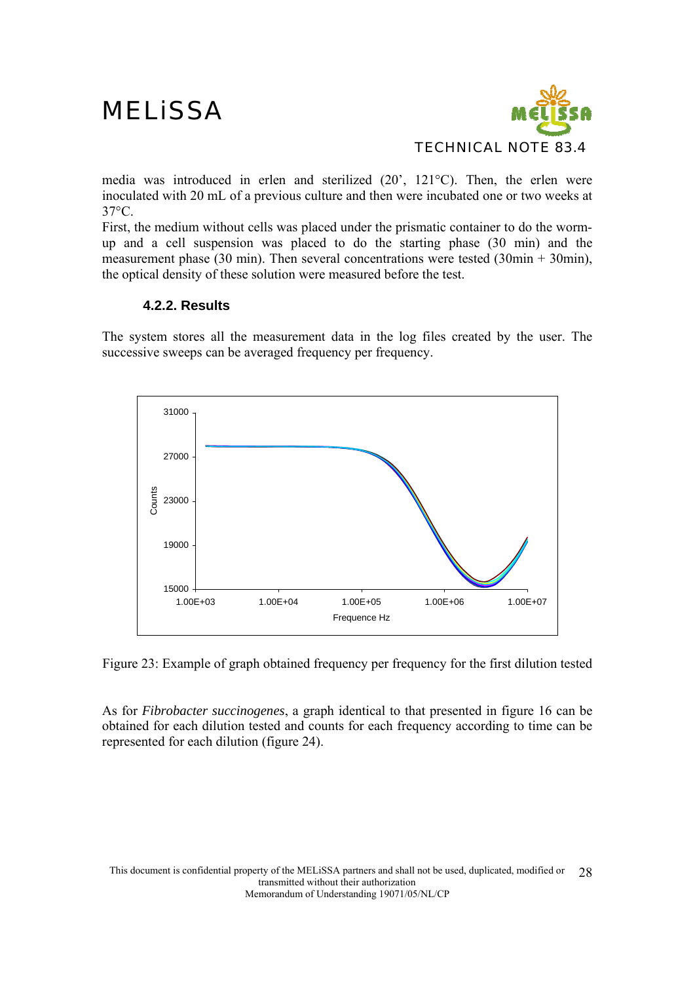

media was introduced in erlen and sterilized (20', 121°C). Then, the erlen were inoculated with 20 mL of a previous culture and then were incubated one or two weeks at 37°C.

First, the medium without cells was placed under the prismatic container to do the wormup and a cell suspension was placed to do the starting phase (30 min) and the measurement phase (30 min). Then several concentrations were tested (30min + 30min), the optical density of these solution were measured before the test.

#### **4.2.2. Results**

The system stores all the measurement data in the log files created by the user. The successive sweeps can be averaged frequency per frequency.



Figure 23: Example of graph obtained frequency per frequency for the first dilution tested

As for *Fibrobacter succinogenes*, a graph identical to that presented in figure 16 can be obtained for each dilution tested and counts for each frequency according to time can be represented for each dilution (figure 24).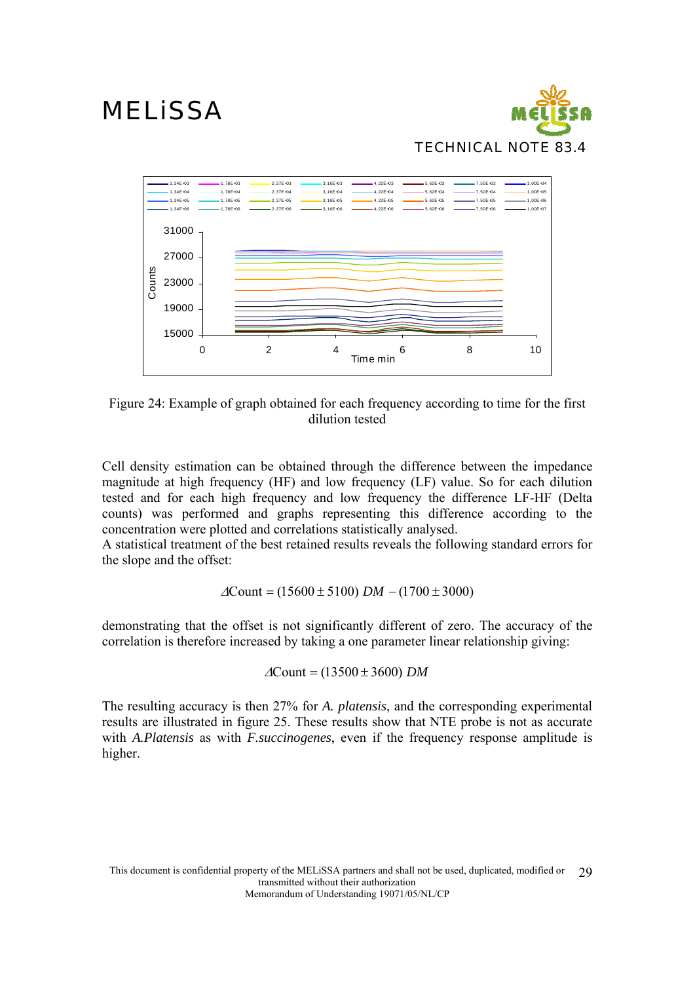



Figure 24: Example of graph obtained for each frequency according to time for the first dilution tested

Cell density estimation can be obtained through the difference between the impedance magnitude at high frequency (HF) and low frequency (LF) value. So for each dilution tested and for each high frequency and low frequency the difference LF-HF (Delta counts) was performed and graphs representing this difference according to the concentration were plotted and correlations statistically analysed.

A statistical treatment of the best retained results reveals the following standard errors for the slope and the offset:

$$
\Delta \text{Count} = (15600 \pm 5100) \, DM - (1700 \pm 3000)
$$

demonstrating that the offset is not significantly different of zero. The accuracy of the correlation is therefore increased by taking a one parameter linear relationship giving:

$$
\Delta
$$
Count = (13500 ± 3600) *DM*

The resulting accuracy is then 27% for *A. platensis*, and the corresponding experimental results are illustrated in figure 25. These results show that NTE probe is not as accurate with *A.Platensis* as with *F.succinogenes*, even if the frequency response amplitude is higher.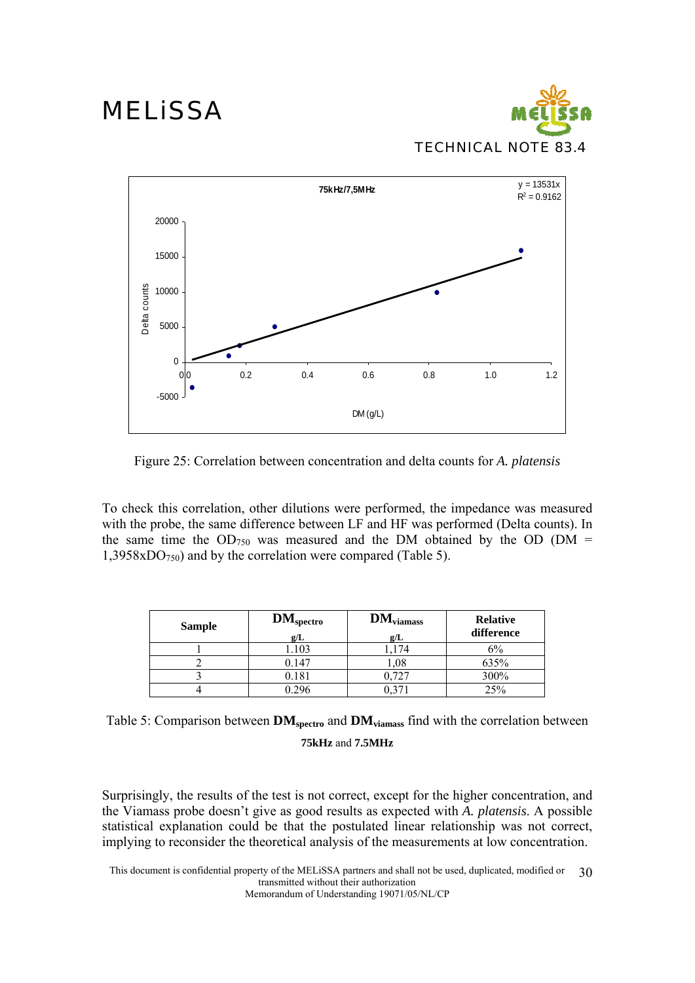



Figure 25: Correlation between concentration and delta counts for *A. platensis*

To check this correlation, other dilutions were performed, the impedance was measured with the probe, the same difference between LF and HF was performed (Delta counts). In the same time the  $OD_{750}$  was measured and the DM obtained by the OD (DM =  $1,3958xDO<sub>750</sub>$  and by the correlation were compared (Table 5).

| <b>Sample</b> | $DM_{\text{spectro}}$<br>g/L | $DM_{\text{viamass}}$<br>g/L | <b>Relative</b><br>difference |
|---------------|------------------------------|------------------------------|-------------------------------|
|               | 1.103                        | 174                          | 6%                            |
|               | 0.147                        | 0,1                          | 635%                          |
|               | 0.181                        | 0.727                        | 300%                          |
|               | 0.296                        |                              | 25%                           |

| Table 5: Comparison between $DM_{\text{spectro}}$ and $DM_{\text{viamass}}$ find with the correlation between |  |  |  |
|---------------------------------------------------------------------------------------------------------------|--|--|--|
| 75kHz and 7.5MHz                                                                                              |  |  |  |

Surprisingly, the results of the test is not correct, except for the higher concentration, and the Viamass probe doesn't give as good results as expected with *A. platensis*. A possible statistical explanation could be that the postulated linear relationship was not correct, implying to reconsider the theoretical analysis of the measurements at low concentration.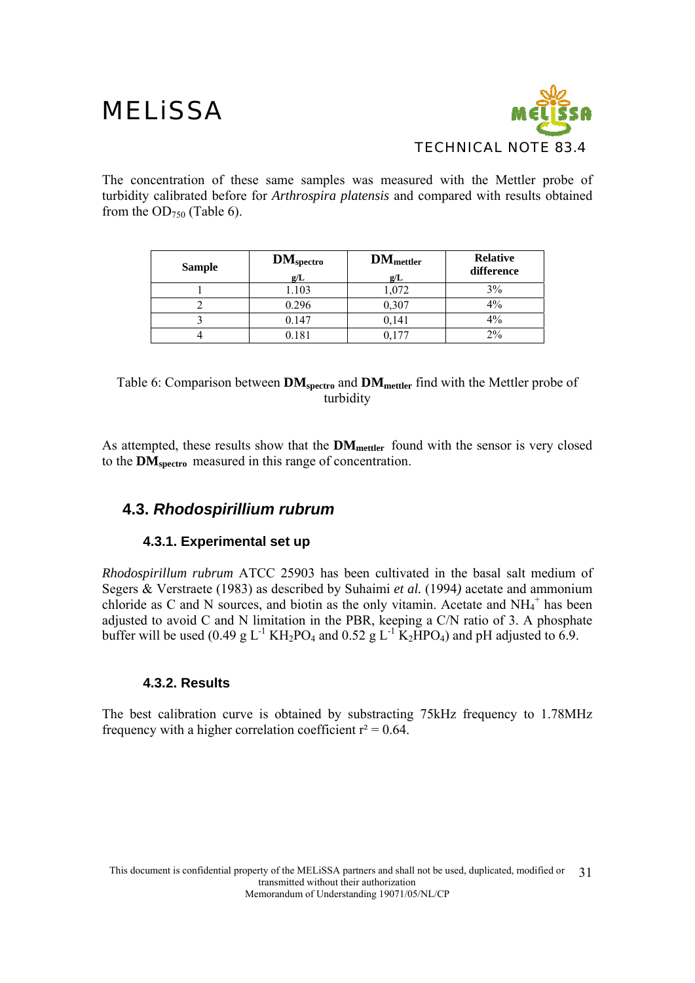

The concentration of these same samples was measured with the Mettler probe of turbidity calibrated before for *Arthrospira platensis* and compared with results obtained from the  $OD_{750}$  (Table 6).

| <b>Sample</b> | $DM_{\text{spectro}}$<br>g/L | DM <sub>matter</sub><br>g/L | <b>Relative</b><br>difference |
|---------------|------------------------------|-----------------------------|-------------------------------|
|               | 1.103                        | 1,072                       | 3%                            |
|               | 0.296                        | 0,307                       | 4%                            |
|               | 0.147                        | 0,141                       | 4%                            |
|               | 0.181                        |                             | $2\%$                         |

#### Table 6: Comparison between **DM**<sub>spectro</sub> and **DM**<sub>mettler</sub> find with the Mettler probe of turbidity

As attempted, these results show that the **DMmettler** found with the sensor is very closed to the **DMspectro** measured in this range of concentration.

### **4.3.** *Rhodospirillium rubrum*

### **4.3.1. Experimental set up**

*Rhodospirillum rubrum* ATCC 25903 has been cultivated in the basal salt medium of Segers & Verstraete (1983) as described by Suhaimi *et al.* (1994*)* acetate and ammonium chloride as C and N sources, and biotin as the only vitamin. Acetate and  $NH_4^+$  has been adjusted to avoid C and N limitation in the PBR, keeping a C/N ratio of 3. A phosphate buffer will be used  $(0.49 \text{ g L}^{-1} \text{ K}H_2\text{PO}_4$  and  $0.52 \text{ g L}^{-1} \text{ K}_2\text{HPO}_4$ ) and pH adjusted to 6.9.

### **4.3.2. Results**

The best calibration curve is obtained by substracting 75kHz frequency to 1.78MHz frequency with a higher correlation coefficient  $r^2 = 0.64$ .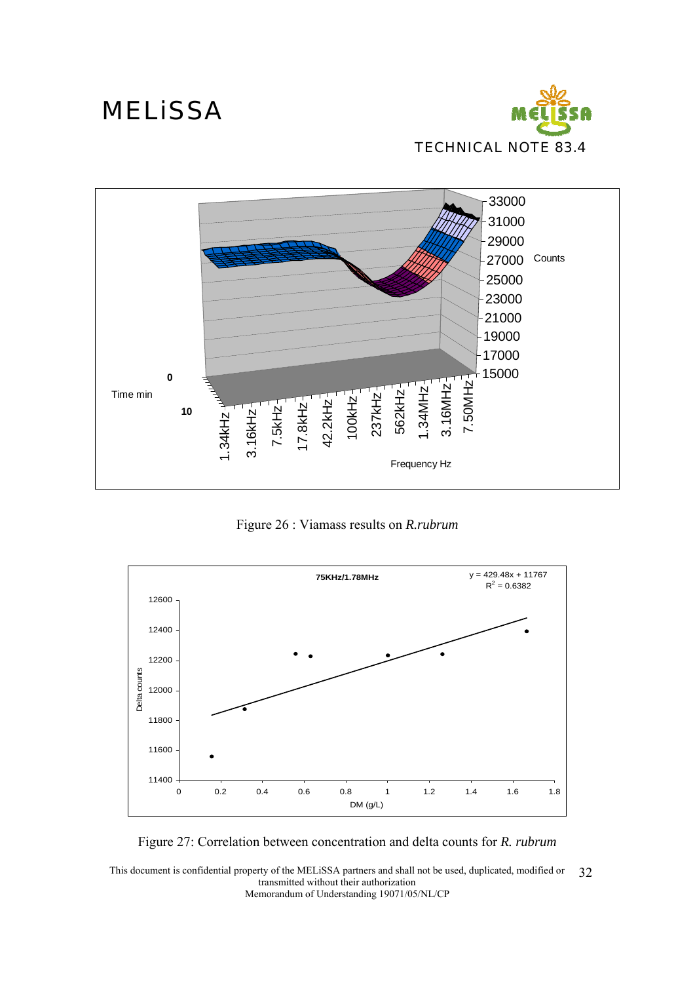





Figure 26 : Viamass results on *R.rubrum*



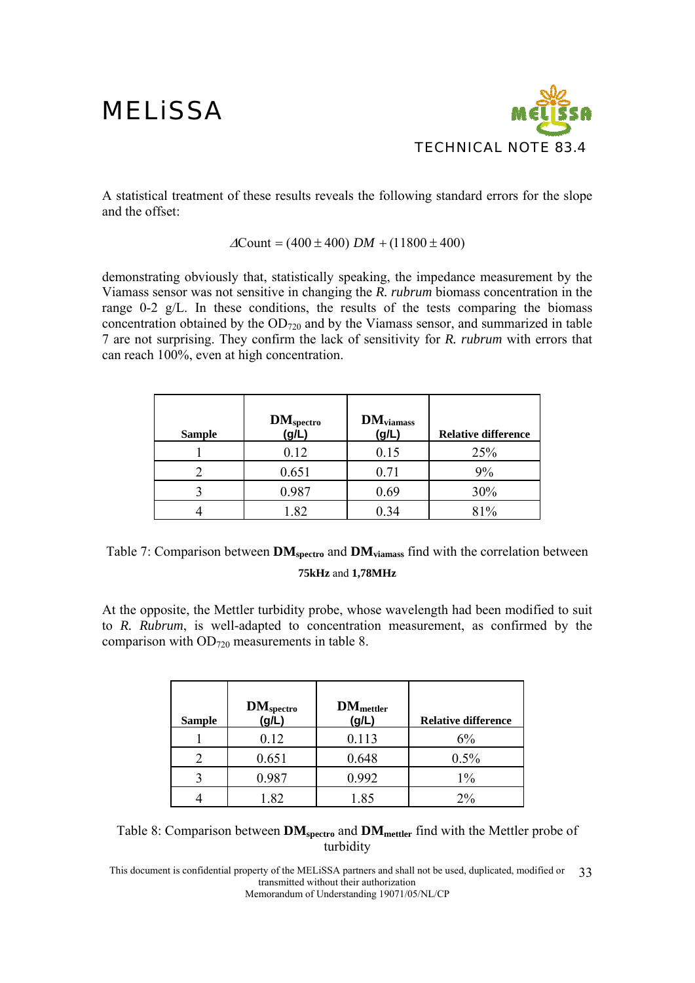

A statistical treatment of these results reveals the following standard errors for the slope and the offset:

#### $\Delta$ Count = (400 ± 400) *DM* + (11800 ± 400)

demonstrating obviously that, statistically speaking, the impedance measurement by the Viamass sensor was not sensitive in changing the *R. rubrum* biomass concentration in the range 0-2 g/L. In these conditions, the results of the tests comparing the biomass concentration obtained by the  $OD_{720}$  and by the Viamass sensor, and summarized in table 7 are not surprising. They confirm the lack of sensitivity for *R. rubrum* with errors that can reach 100%, even at high concentration.

| <b>Sample</b> | $DM_{\text{spectro}}$ (g/L) | $DM_{\text{viamass}}$<br>(g/L) | <b>Relative difference</b> |
|---------------|-----------------------------|--------------------------------|----------------------------|
|               | 0.12                        | 0.15                           | 25%                        |
|               | 0.651                       | 0.71                           | 9%                         |
|               | 0.987                       | 0.69                           | 30%                        |
|               | 1.82                        | ).34                           | 81%                        |

Table 7: Comparison between **DM**<sub>spectro</sub> and **DM**<sub>viamass</sub> find with the correlation between **75kHz** and **1,78MHz**

At the opposite, the Mettler turbidity probe, whose wavelength had been modified to suit to *R. Rubrum*, is well-adapted to concentration measurement, as confirmed by the comparison with OD720 measurements in table 8.

| <b>Sample</b> | <b>DM</b> spectro<br>(g/L) | <b>DM</b> <sub>mettler</sub><br>(g/L) | <b>Relative difference</b> |
|---------------|----------------------------|---------------------------------------|----------------------------|
|               | 0.12                       | 0.113                                 | 6%                         |
|               | 0.651                      | 0.648                                 | 0.5%                       |
|               | 0.987                      | 0.992                                 | $1\%$                      |
|               | 1.82                       | 1.85                                  | $2\%$                      |

| Table 8: Comparison between $DM_{\text{spectro}}$ and $DM_{\text{mettler}}$ find with the Mettler probe of |  |
|------------------------------------------------------------------------------------------------------------|--|
| turbidity                                                                                                  |  |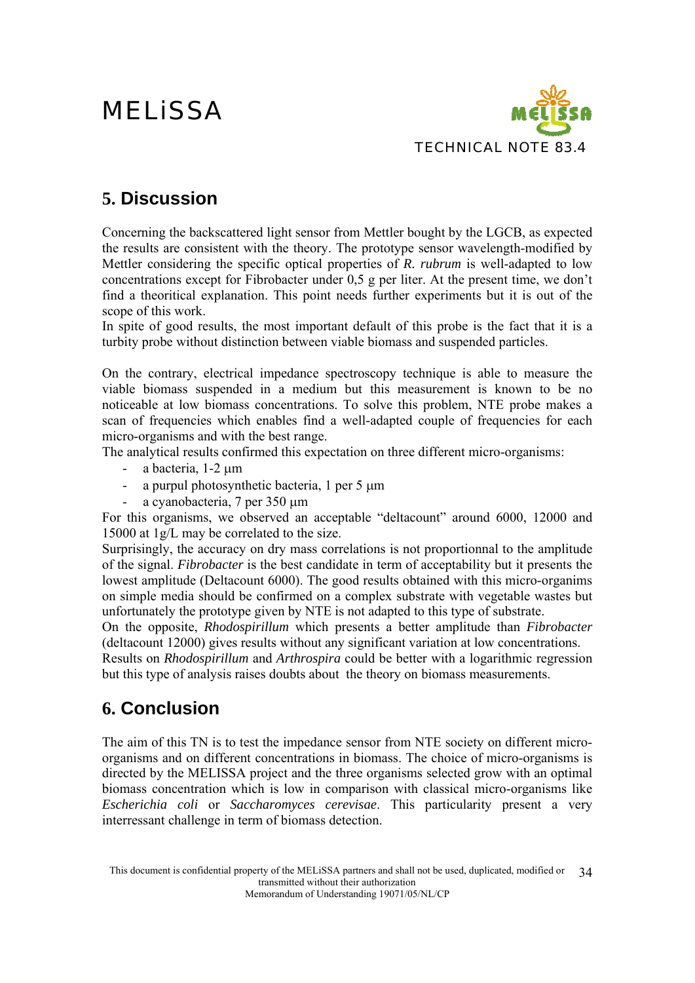

### **5. Discussion**

Concerning the backscattered light sensor from Mettler bought by the LGCB, as expected the results are consistent with the theory. The prototype sensor wavelength-modified by Mettler considering the specific optical properties of *R. rubrum* is well-adapted to low concentrations except for Fibrobacter under 0,5 g per liter. At the present time, we don't find a theoritical explanation. This point needs further experiments but it is out of the scope of this work.

In spite of good results, the most important default of this probe is the fact that it is a turbity probe without distinction between viable biomass and suspended particles.

On the contrary, electrical impedance spectroscopy technique is able to measure the viable biomass suspended in a medium but this measurement is known to be no noticeable at low biomass concentrations. To solve this problem, NTE probe makes a scan of frequencies which enables find a well-adapted couple of frequencies for each micro-organisms and with the best range.

The analytical results confirmed this expectation on three different micro-organisms:

- a bacteria, 1-2 μm
- a purpul photosynthetic bacteria, 1 per 5 μm
- a cyanobacteria, 7 per 350 μm

For this organisms, we observed an acceptable "deltacount" around 6000, 12000 and 15000 at 1g/L may be correlated to the size.

Surprisingly, the accuracy on dry mass correlations is not proportionnal to the amplitude of the signal. *Fibrobacter* is the best candidate in term of acceptability but it presents the lowest amplitude (Deltacount 6000). The good results obtained with this micro-organims on simple media should be confirmed on a complex substrate with vegetable wastes but unfortunately the prototype given by NTE is not adapted to this type of substrate.

On the opposite, *Rhodospirillum* which presents a better amplitude than *Fibrobacter* (deltacount 12000) gives results without any significant variation at low concentrations. Results on *Rhodospirillum* and *Arthrospira* could be better with a logarithmic regression but this type of analysis raises doubts about the theory on biomass measurements.

### **6. Conclusion**

The aim of this TN is to test the impedance sensor from NTE society on different microorganisms and on different concentrations in biomass. The choice of micro-organisms is directed by the MELISSA project and the three organisms selected grow with an optimal biomass concentration which is low in comparison with classical micro-organisms like *Escherichia coli* or *Saccharomyces cerevisae*. This particularity present a very interressant challenge in term of biomass detection.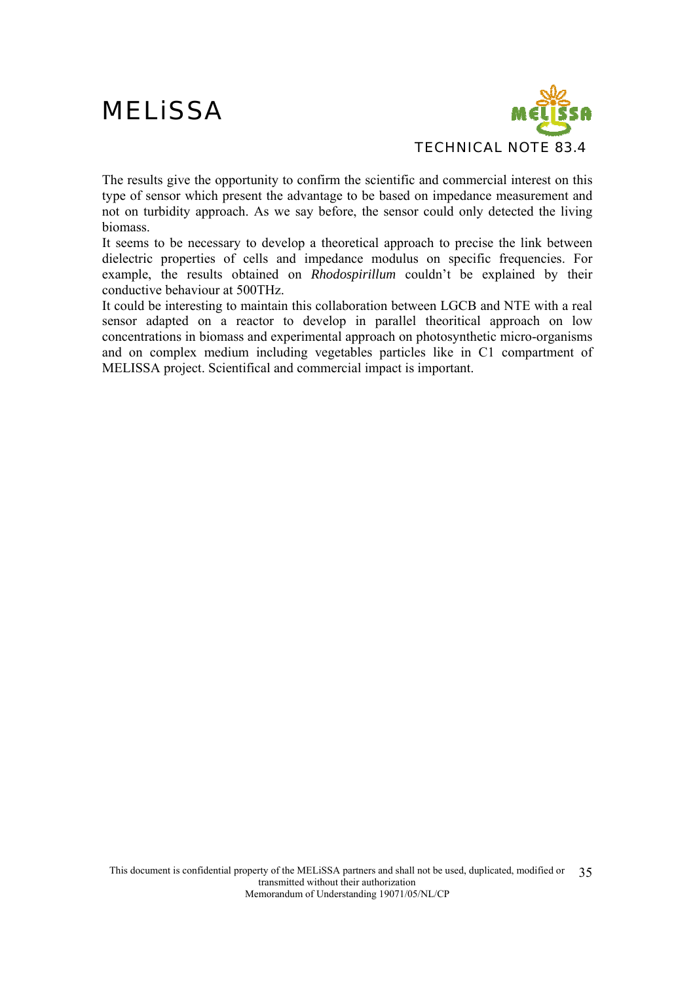

The results give the opportunity to confirm the scientific and commercial interest on this type of sensor which present the advantage to be based on impedance measurement and not on turbidity approach. As we say before, the sensor could only detected the living biomass.

It seems to be necessary to develop a theoretical approach to precise the link between dielectric properties of cells and impedance modulus on specific frequencies. For example, the results obtained on *Rhodospirillum* couldn't be explained by their conductive behaviour at 500THz.

It could be interesting to maintain this collaboration between LGCB and NTE with a real sensor adapted on a reactor to develop in parallel theoritical approach on low concentrations in biomass and experimental approach on photosynthetic micro-organisms and on complex medium including vegetables particles like in C1 compartment of MELISSA project. Scientifical and commercial impact is important.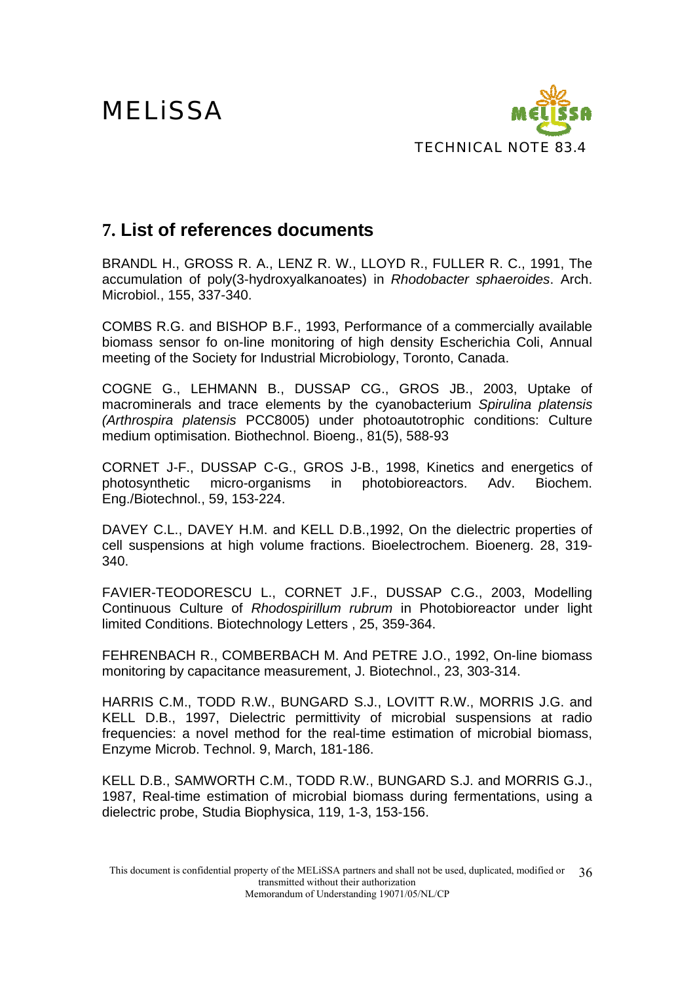

### **7. List of references documents**

BRANDL H., GROSS R. A., LENZ R. W., LLOYD R., FULLER R. C., 1991, The accumulation of poly(3-hydroxyalkanoates) in *Rhodobacter sphaeroides*. Arch. Microbiol., 155, 337-340.

COMBS R.G. and BISHOP B.F., 1993, Performance of a commercially available biomass sensor fo on-line monitoring of high density Escherichia Coli, Annual meeting of the Society for Industrial Microbiology, Toronto, Canada.

COGNE G., LEHMANN B., DUSSAP CG., GROS JB., 2003, Uptake of macrominerals and trace elements by the cyanobacterium *Spirulina platensis (Arthrospira platensis* PCC8005) under photoautotrophic conditions: Culture medium optimisation. Biothechnol. Bioeng., 81(5), 588-93

CORNET J-F., DUSSAP C-G., GROS J-B., 1998, Kinetics and energetics of photosynthetic micro-organisms in photobioreactors. Adv. Biochem. Eng./Biotechnol., 59, 153-224.

DAVEY C.L., DAVEY H.M. and KELL D.B.,1992, On the dielectric properties of cell suspensions at high volume fractions. Bioelectrochem. Bioenerg. 28, 319- 340.

FAVIER-TEODORESCU L., CORNET J.F., DUSSAP C.G., 2003, Modelling Continuous Culture of *Rhodospirillum rubrum* in Photobioreactor under light limited Conditions. Biotechnology Letters , 25, 359-364.

FEHRENBACH R., COMBERBACH M. And PETRE J.O., 1992, On-line biomass monitoring by capacitance measurement, J. Biotechnol., 23, 303-314.

HARRIS C.M., TODD R.W., BUNGARD S.J., LOVITT R.W., MORRIS J.G. and KELL D.B., 1997, Dielectric permittivity of microbial suspensions at radio frequencies: a novel method for the real-time estimation of microbial biomass, Enzyme Microb. Technol. 9, March, 181-186.

KELL D.B., SAMWORTH C.M., TODD R.W., BUNGARD S.J. and MORRIS G.J., 1987, Real-time estimation of microbial biomass during fermentations, using a dielectric probe, Studia Biophysica, 119, 1-3, 153-156.